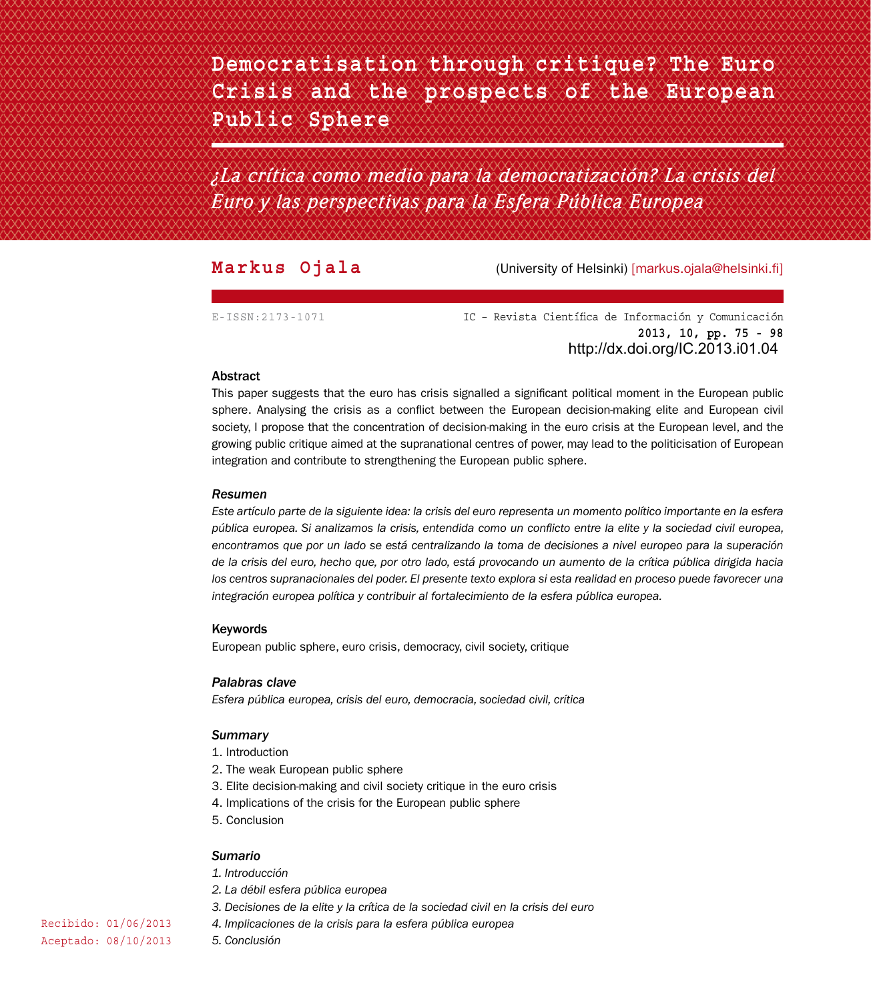**Democratisation through critique? The Euro Crisis and the prospects of the European Public Sphere**

*¿La crítica como medio para la democratización? La crisis del Euro y las perspectivas para la Esfera Pública Europea*

**Markus Ojala** (University of Helsinki) [markus.ojala@helsinki.fi]

E-ISSN:2173-1071 IC – Revista Científica de Información y Comunicación **2013, 10, pp. 75 - 98** http://dx.doi.org/IC.2013.i01.04

### Abstract

This paper suggests that the euro has crisis signalled a significant political moment in the European public sphere. Analysing the crisis as a conflict between the European decision-making elite and European civil society, I propose that the concentration of decision-making in the euro crisis at the European level, and the growing public critique aimed at the supranational centres of power, may lead to the politicisation of European integration and contribute to strengthening the European public sphere.

## *Resumen*

*Este artículo parte de la siguiente idea: la crisis del euro representa un momento político importante en la esfera pública europea. Si analizamos la crisis, entendida como un conflicto entre la elite y la sociedad civil europea, encontramos que por un lado se está centralizando la toma de decisiones a nivel europeo para la superación de la crisis del euro, hecho que, por otro lado, está provocando un aumento de la crítica pública dirigida hacia los centros supranacionales del poder. El presente texto explora si esta realidad en proceso puede favorecer una integración europea política y contribuir al fortalecimiento de la esfera pública europea.*

## Keywords

European public sphere, euro crisis, democracy, civil society, critique

### *Palabras clave*

*Esfera pública europea, crisis del euro, democracia, sociedad civil, crítica*

### *Summary*

- 1. Introduction
- 2. The weak European public sphere
- 3. Elite decision-making and civil society critique in the euro crisis
- 4. Implications of the crisis for the European public sphere
- 5. Conclusion

### *Sumario*

*1. Introducción*

*5. Conclusión*

- *2. La débil esfera pública europea*
- *3. Decisiones de la elite y la crítica de la sociedad civil en la crisis del euro*
- *4. Implicaciones de la crisis para la esfera pública europea*

Recibido: 01/06/2013 Aceptado: 08/10/2013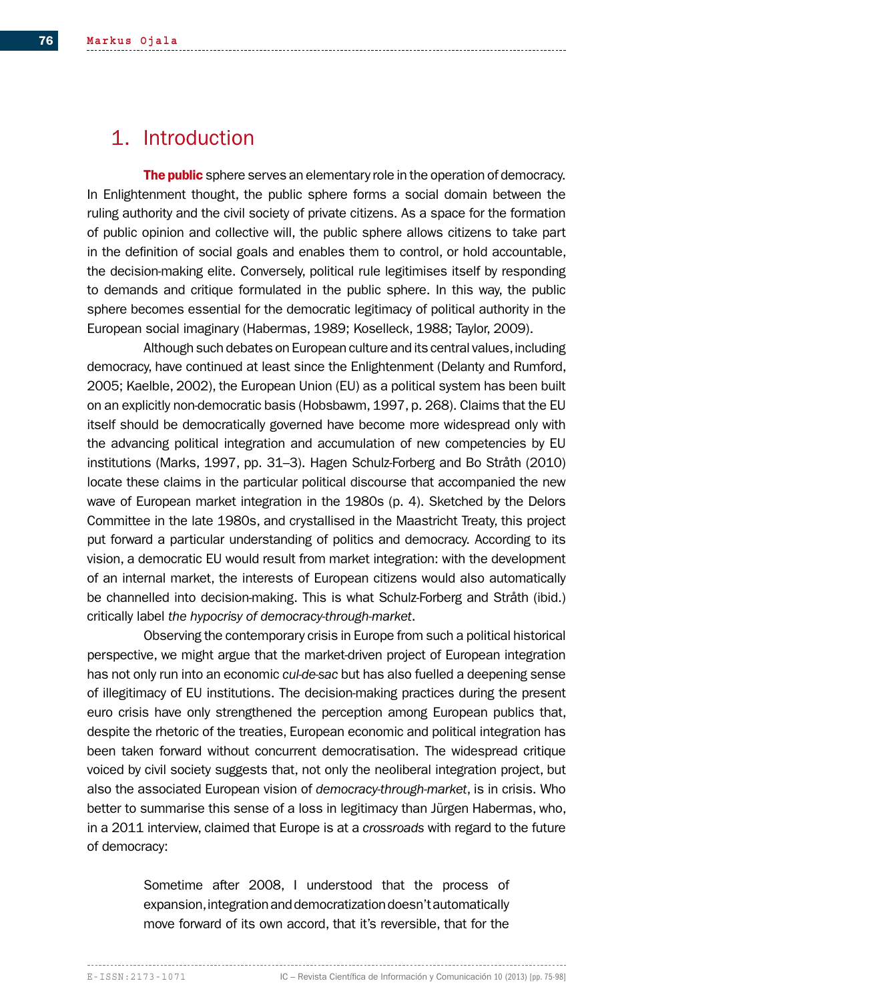# 1. Introduction

The public sphere serves an elementary role in the operation of democracy. In Enlightenment thought, the public sphere forms a social domain between the ruling authority and the civil society of private citizens. As a space for the formation of public opinion and collective will, the public sphere allows citizens to take part in the definition of social goals and enables them to control, or hold accountable, the decision-making elite. Conversely, political rule legitimises itself by responding to demands and critique formulated in the public sphere. In this way, the public sphere becomes essential for the democratic legitimacy of political authority in the European social imaginary (Habermas, 1989; Koselleck, 1988; Taylor, 2009).

Although such debates on European culture and its central values, including democracy, have continued at least since the Enlightenment (Delanty and Rumford, 2005; Kaelble, 2002), the European Union (EU) as a political system has been built on an explicitly non-democratic basis (Hobsbawm, 1997, p. 268). Claims that the EU itself should be democratically governed have become more widespread only with the advancing political integration and accumulation of new competencies by EU institutions (Marks, 1997, pp. 31–3). Hagen Schulz-Forberg and Bo Stråth (2010) locate these claims in the particular political discourse that accompanied the new wave of European market integration in the 1980s (p. 4). Sketched by the Delors Committee in the late 1980s, and crystallised in the Maastricht Treaty, this project put forward a particular understanding of politics and democracy. According to its vision, a democratic EU would result from market integration: with the development of an internal market, the interests of European citizens would also automatically be channelled into decision-making. This is what Schulz-Forberg and Stråth (ibid.) critically label *the hypocrisy of democracy-through-market*.

Observing the contemporary crisis in Europe from such a political historical perspective, we might argue that the market-driven project of European integration has not only run into an economic *cul-de-sac* but has also fuelled a deepening sense of illegitimacy of EU institutions. The decision-making practices during the present euro crisis have only strengthened the perception among European publics that, despite the rhetoric of the treaties, European economic and political integration has been taken forward without concurrent democratisation. The widespread critique voiced by civil society suggests that, not only the neoliberal integration project, but also the associated European vision of *democracy-through-market*, is in crisis. Who better to summarise this sense of a loss in legitimacy than Jürgen Habermas, who, in a 2011 interview, claimed that Europe is at a *crossroads* with regard to the future of democracy:

> Sometime after 2008, I understood that the process of expansion, integration and democratization doesn't automatically move forward of its own accord, that it's reversible, that for the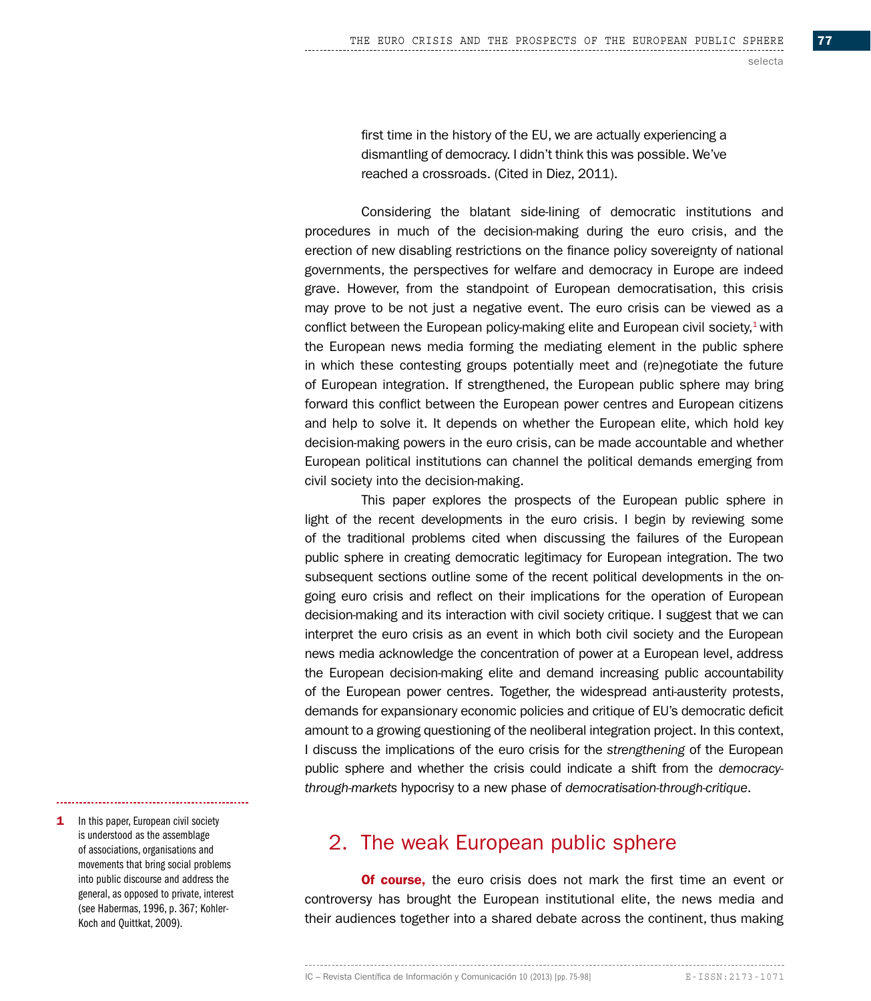first time in the history of the EU, we are actually experiencing a dismantling of democracy. I didn't think this was possible. We've reached a crossroads. (Cited in Diez, 2011).

Considering the blatant side-lining of democratic institutions and procedures in much of the decision-making during the euro crisis, and the erection of new disabling restrictions on the finance policy sovereignty of national governments, the perspectives for welfare and democracy in Europe are indeed grave. However, from the standpoint of European democratisation, this crisis may prove to be not just a negative event. The euro crisis can be viewed as a conflict between the European policy-making elite and European civil society, $1$  with the European news media forming the mediating element in the public sphere in which these contesting groups potentially meet and (re)negotiate the future of European integration. If strengthened, the European public sphere may bring forward this conflict between the European power centres and European citizens and help to solve it. It depends on whether the European elite, which hold key decision-making powers in the euro crisis, can be made accountable and whether European political institutions can channel the political demands emerging from civil society into the decision-making.

This paper explores the prospects of the European public sphere in light of the recent developments in the euro crisis. I begin by reviewing some of the traditional problems cited when discussing the failures of the European public sphere in creating democratic legitimacy for European integration. The two subsequent sections outline some of the recent political developments in the ongoing euro crisis and reflect on their implications for the operation of European decision-making and its interaction with civil society critique. I suggest that we can interpret the euro crisis as an event in which both civil society and the European news media acknowledge the concentration of power at a European level, address the European decision-making elite and demand increasing public accountability of the European power centres. Together, the widespread anti-austerity protests, demands for expansionary economic policies and critique of EU's democratic deficit amount to a growing questioning of the neoliberal integration project. In this context, I discuss the implications of the euro crisis for the *strengthening* of the European public sphere and whether the crisis could indicate a shift from the *democracythrough-markets* hypocrisy to a new phase of *democratisation-through-critique*.

**1** In this paper, European civil society is understood as the assemblage of associations, organisations and movements that bring social problems into public discourse and address the general, as opposed to private, interest (see Habermas, 1996, p. 367; Kohler-Koch and Quittkat, 2009).

# 2. The weak European public sphere

**Of course,** the euro crisis does not mark the first time an event or controversy has brought the European institutional elite, the news media and their audiences together into a shared debate across the continent, thus making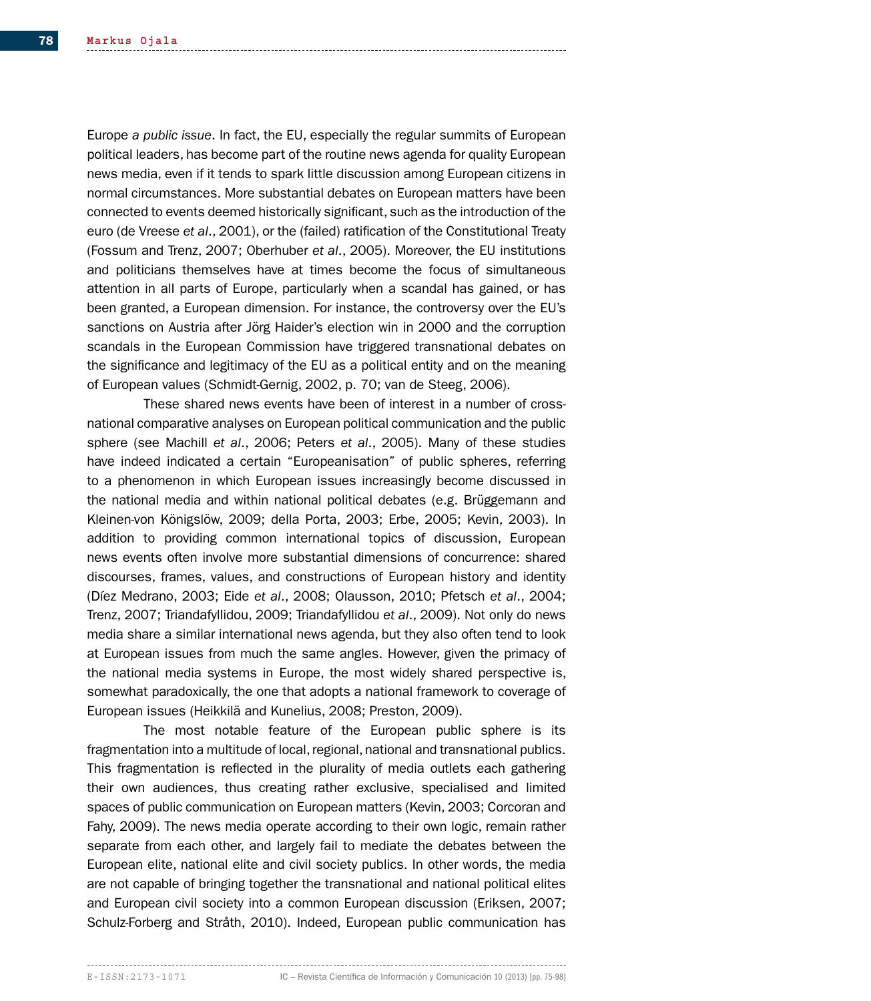Europe *a public issue*. In fact, the EU, especially the regular summits of European political leaders, has become part of the routine news agenda for quality European news media, even if it tends to spark little discussion among European citizens in normal circumstances. More substantial debates on European matters have been connected to events deemed historically significant, such as the introduction of the euro (de Vreese *et al*., 2001), or the (failed) ratification of the Constitutional Treaty (Fossum and Trenz, 2007; Oberhuber *et al*., 2005). Moreover, the EU institutions and politicians themselves have at times become the focus of simultaneous attention in all parts of Europe, particularly when a scandal has gained, or has been granted, a European dimension. For instance, the controversy over the EU's sanctions on Austria after Jörg Haider's election win in 2000 and the corruption scandals in the European Commission have triggered transnational debates on the significance and legitimacy of the EU as a political entity and on the meaning of European values (Schmidt-Gernig, 2002, p. 70; van de Steeg, 2006).

These shared news events have been of interest in a number of crossnational comparative analyses on European political communication and the public sphere (see Machill *et al*., 2006; Peters *et al*., 2005). Many of these studies have indeed indicated a certain "Europeanisation" of public spheres, referring to a phenomenon in which European issues increasingly become discussed in the national media and within national political debates (e.g. Brüggemann and Kleinen-von Königslöw, 2009; della Porta, 2003; Erbe, 2005; Kevin, 2003). In addition to providing common international topics of discussion, European news events often involve more substantial dimensions of concurrence: shared discourses, frames, values, and constructions of European history and identity (Díez Medrano, 2003; Eide *et al*., 2008; Olausson, 2010; Pfetsch *et al*., 2004; Trenz, 2007; Triandafyllidou, 2009; Triandafyllidou *et al*., 2009). Not only do news media share a similar international news agenda, but they also often tend to look at European issues from much the same angles. However, given the primacy of the national media systems in Europe, the most widely shared perspective is, somewhat paradoxically, the one that adopts a national framework to coverage of European issues (Heikkilä and Kunelius, 2008; Preston, 2009).

The most notable feature of the European public sphere is its fragmentation into a multitude of local, regional, national and transnational publics. This fragmentation is reflected in the plurality of media outlets each gathering their own audiences, thus creating rather exclusive, specialised and limited spaces of public communication on European matters (Kevin, 2003; Corcoran and Fahy, 2009). The news media operate according to their own logic, remain rather separate from each other, and largely fail to mediate the debates between the European elite, national elite and civil society publics. In other words, the media are not capable of bringing together the transnational and national political elites and European civil society into a common European discussion (Eriksen, 2007; Schulz-Forberg and Stråth, 2010). Indeed, European public communication has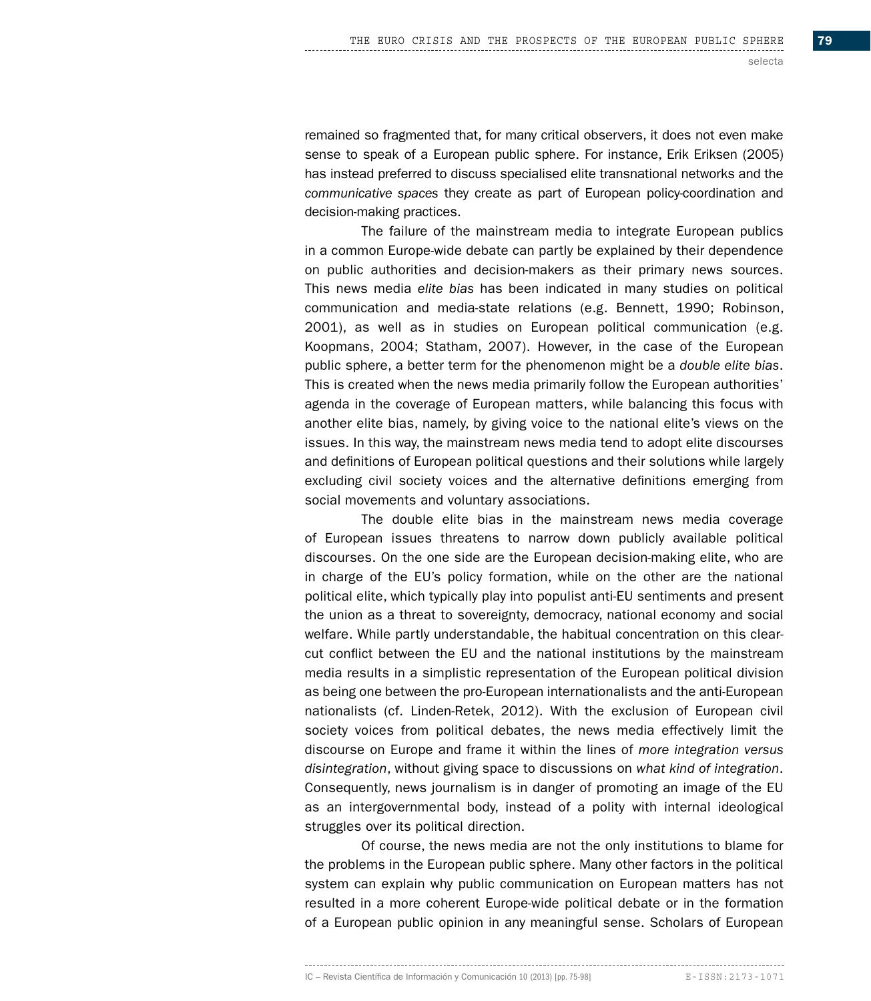remained so fragmented that, for many critical observers, it does not even make sense to speak of a European public sphere. For instance, Erik Eriksen (2005) has instead preferred to discuss specialised elite transnational networks and the *communicative spaces* they create as part of European policy-coordination and decision-making practices.

The failure of the mainstream media to integrate European publics in a common Europe-wide debate can partly be explained by their dependence on public authorities and decision-makers as their primary news sources. This news media *elite bias* has been indicated in many studies on political communication and media-state relations (e.g. Bennett, 1990; Robinson, 2001), as well as in studies on European political communication (e.g. Koopmans, 2004; Statham, 2007). However, in the case of the European public sphere, a better term for the phenomenon might be a *double elite bias*. This is created when the news media primarily follow the European authorities' agenda in the coverage of European matters, while balancing this focus with another elite bias, namely, by giving voice to the national elite's views on the issues. In this way, the mainstream news media tend to adopt elite discourses and definitions of European political questions and their solutions while largely excluding civil society voices and the alternative definitions emerging from social movements and voluntary associations.

The double elite bias in the mainstream news media coverage of European issues threatens to narrow down publicly available political discourses. On the one side are the European decision-making elite, who are in charge of the EU's policy formation, while on the other are the national political elite, which typically play into populist anti-EU sentiments and present the union as a threat to sovereignty, democracy, national economy and social welfare. While partly understandable, the habitual concentration on this clearcut conflict between the EU and the national institutions by the mainstream media results in a simplistic representation of the European political division as being one between the pro-European internationalists and the anti-European nationalists (cf. Linden-Retek, 2012). With the exclusion of European civil society voices from political debates, the news media effectively limit the discourse on Europe and frame it within the lines of *more integration versus disintegration*, without giving space to discussions on *what kind of integration*. Consequently, news journalism is in danger of promoting an image of the EU as an intergovernmental body, instead of a polity with internal ideological struggles over its political direction.

Of course, the news media are not the only institutions to blame for the problems in the European public sphere. Many other factors in the political system can explain why public communication on European matters has not resulted in a more coherent Europe-wide political debate or in the formation of a European public opinion in any meaningful sense. Scholars of European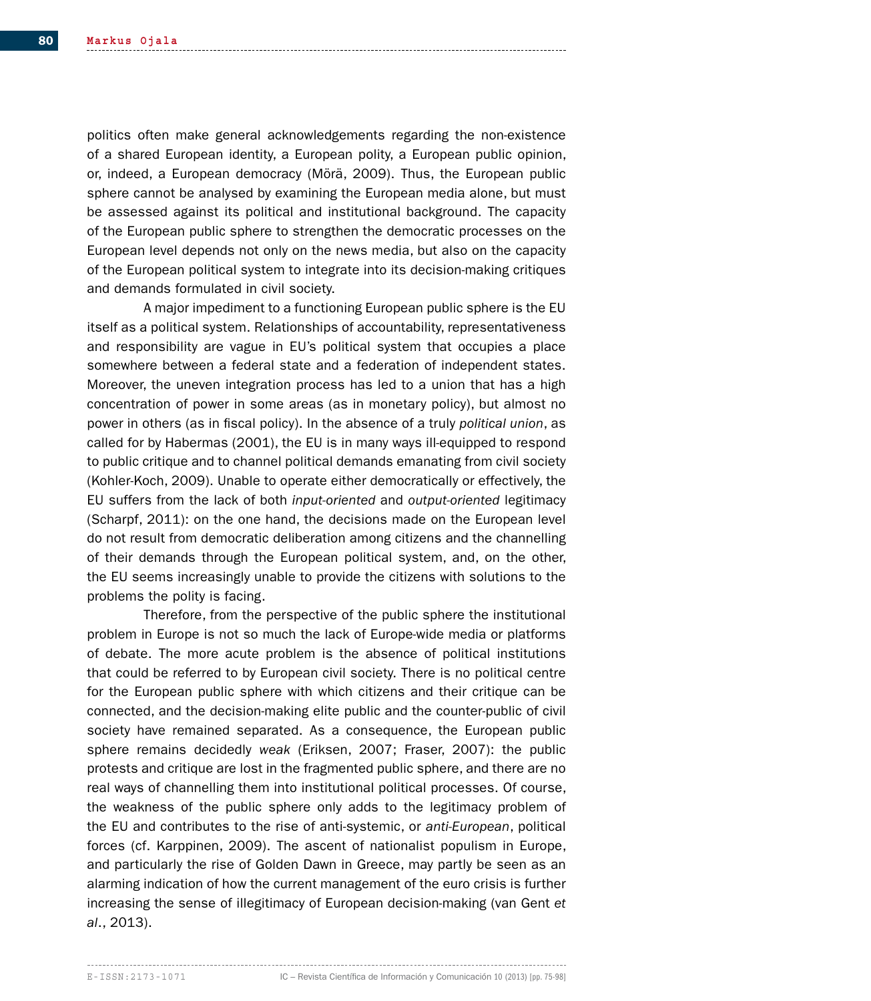politics often make general acknowledgements regarding the non-existence of a shared European identity, a European polity, a European public opinion, or, indeed, a European democracy (Mörä, 2009). Thus, the European public sphere cannot be analysed by examining the European media alone, but must be assessed against its political and institutional background. The capacity of the European public sphere to strengthen the democratic processes on the European level depends not only on the news media, but also on the capacity of the European political system to integrate into its decision-making critiques and demands formulated in civil society.

A major impediment to a functioning European public sphere is the EU itself as a political system. Relationships of accountability, representativeness and responsibility are vague in EU's political system that occupies a place somewhere between a federal state and a federation of independent states. Moreover, the uneven integration process has led to a union that has a high concentration of power in some areas (as in monetary policy), but almost no power in others (as in fiscal policy). In the absence of a truly *political union*, as called for by Habermas (2001), the EU is in many ways ill-equipped to respond to public critique and to channel political demands emanating from civil society (Kohler-Koch, 2009). Unable to operate either democratically or effectively, the EU suffers from the lack of both *input-oriented* and *output-oriented* legitimacy (Scharpf, 2011): on the one hand, the decisions made on the European level do not result from democratic deliberation among citizens and the channelling of their demands through the European political system, and, on the other, the EU seems increasingly unable to provide the citizens with solutions to the problems the polity is facing.

Therefore, from the perspective of the public sphere the institutional problem in Europe is not so much the lack of Europe-wide media or platforms of debate. The more acute problem is the absence of political institutions that could be referred to by European civil society. There is no political centre for the European public sphere with which citizens and their critique can be connected, and the decision-making elite public and the counter-public of civil society have remained separated. As a consequence, the European public sphere remains decidedly *weak* (Eriksen, 2007; Fraser, 2007): the public protests and critique are lost in the fragmented public sphere, and there are no real ways of channelling them into institutional political processes. Of course, the weakness of the public sphere only adds to the legitimacy problem of the EU and contributes to the rise of anti-systemic, or *anti-European*, political forces (cf. Karppinen, 2009). The ascent of nationalist populism in Europe, and particularly the rise of Golden Dawn in Greece, may partly be seen as an alarming indication of how the current management of the euro crisis is further increasing the sense of illegitimacy of European decision-making (van Gent *et al*., 2013).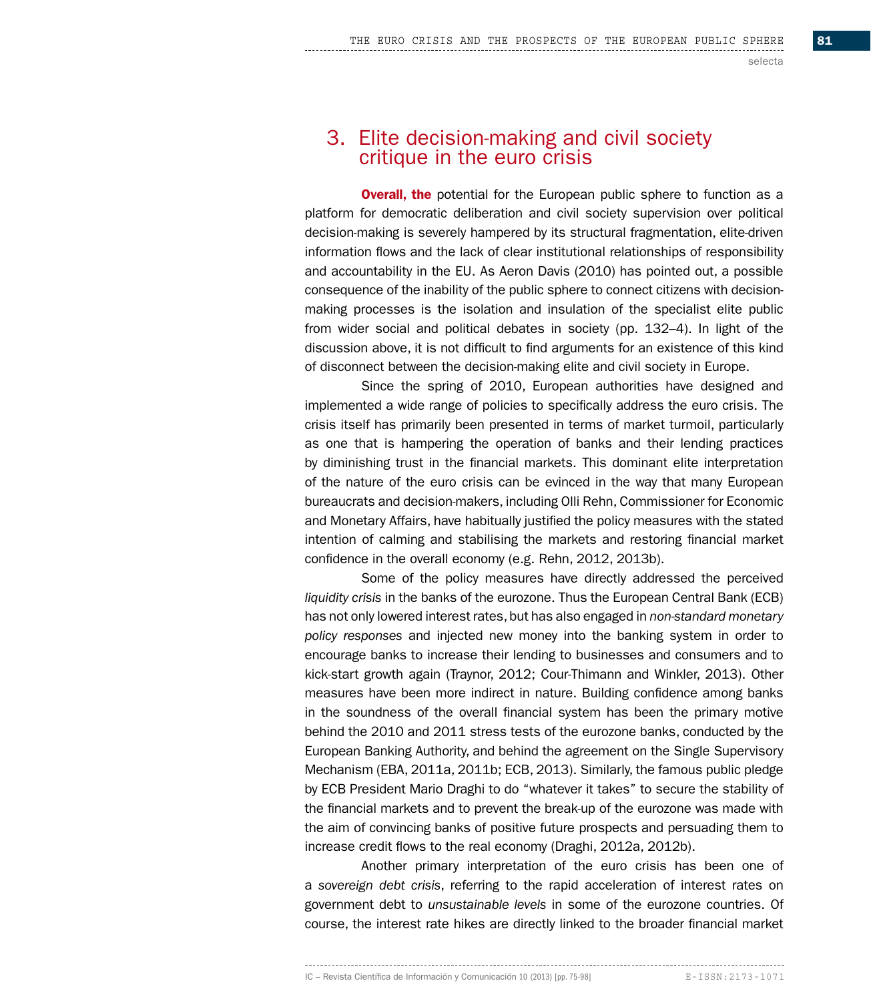# 3. Elite decision-making and civil society critique in the euro crisis

**Overall, the** potential for the European public sphere to function as a platform for democratic deliberation and civil society supervision over political decision-making is severely hampered by its structural fragmentation, elite-driven information flows and the lack of clear institutional relationships of responsibility and accountability in the EU. As Aeron Davis (2010) has pointed out, a possible consequence of the inability of the public sphere to connect citizens with decisionmaking processes is the isolation and insulation of the specialist elite public from wider social and political debates in society (pp. 132–4). In light of the discussion above, it is not difficult to find arguments for an existence of this kind of disconnect between the decision-making elite and civil society in Europe.

Since the spring of 2010, European authorities have designed and implemented a wide range of policies to specifically address the euro crisis. The crisis itself has primarily been presented in terms of market turmoil, particularly as one that is hampering the operation of banks and their lending practices by diminishing trust in the financial markets. This dominant elite interpretation of the nature of the euro crisis can be evinced in the way that many European bureaucrats and decision-makers, including Olli Rehn, Commissioner for Economic and Monetary Affairs, have habitually justified the policy measures with the stated intention of calming and stabilising the markets and restoring financial market confidence in the overall economy (e.g. Rehn, 2012, 2013b).

Some of the policy measures have directly addressed the perceived *liquidity crisis* in the banks of the eurozone. Thus the European Central Bank (ECB) has not only lowered interest rates, but has also engaged in *non-standard monetary policy responses* and injected new money into the banking system in order to encourage banks to increase their lending to businesses and consumers and to kick-start growth again (Traynor, 2012; Cour-Thimann and Winkler, 2013). Other measures have been more indirect in nature. Building confidence among banks in the soundness of the overall financial system has been the primary motive behind the 2010 and 2011 stress tests of the eurozone banks, conducted by the European Banking Authority, and behind the agreement on the Single Supervisory Mechanism (EBA, 2011a, 2011b; ECB, 2013). Similarly, the famous public pledge by ECB President Mario Draghi to do "whatever it takes" to secure the stability of the financial markets and to prevent the break-up of the eurozone was made with the aim of convincing banks of positive future prospects and persuading them to increase credit flows to the real economy (Draghi, 2012a, 2012b).

Another primary interpretation of the euro crisis has been one of a *sovereign debt crisis*, referring to the rapid acceleration of interest rates on government debt to *unsustainable levels* in some of the eurozone countries. Of course, the interest rate hikes are directly linked to the broader financial market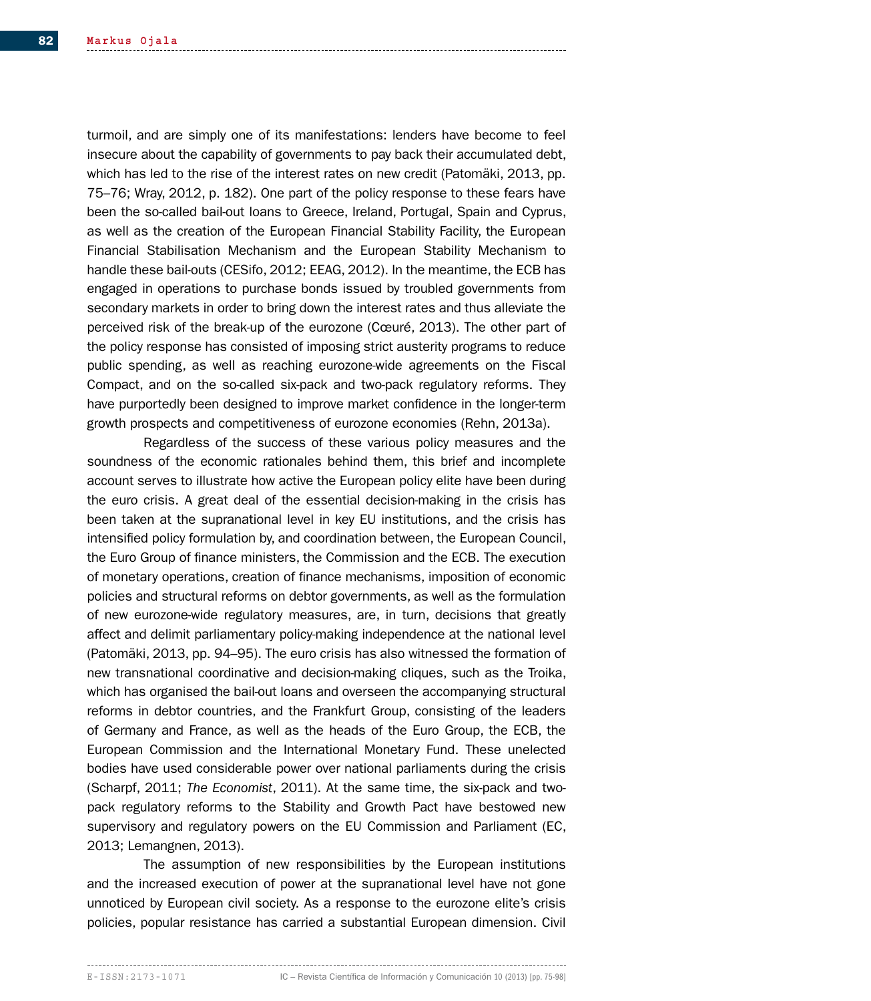turmoil, and are simply one of its manifestations: lenders have become to feel insecure about the capability of governments to pay back their accumulated debt, which has led to the rise of the interest rates on new credit (Patomäki, 2013, pp. 75–76; Wray, 2012, p. 182). One part of the policy response to these fears have been the so-called bail-out loans to Greece, Ireland, Portugal, Spain and Cyprus, as well as the creation of the European Financial Stability Facility, the European Financial Stabilisation Mechanism and the European Stability Mechanism to handle these bail-outs (CESifo, 2012; EEAG, 2012). In the meantime, the ECB has engaged in operations to purchase bonds issued by troubled governments from secondary markets in order to bring down the interest rates and thus alleviate the perceived risk of the break-up of the eurozone (Cœuré, 2013). The other part of the policy response has consisted of imposing strict austerity programs to reduce public spending, as well as reaching eurozone-wide agreements on the Fiscal Compact, and on the so-called six-pack and two-pack regulatory reforms. They have purportedly been designed to improve market confidence in the longer-term growth prospects and competitiveness of eurozone economies (Rehn, 2013a).

Regardless of the success of these various policy measures and the soundness of the economic rationales behind them, this brief and incomplete account serves to illustrate how active the European policy elite have been during the euro crisis. A great deal of the essential decision-making in the crisis has been taken at the supranational level in key EU institutions, and the crisis has intensified policy formulation by, and coordination between, the European Council, the Euro Group of finance ministers, the Commission and the ECB. The execution of monetary operations, creation of finance mechanisms, imposition of economic policies and structural reforms on debtor governments, as well as the formulation of new eurozone-wide regulatory measures, are, in turn, decisions that greatly affect and delimit parliamentary policy-making independence at the national level (Patomäki, 2013, pp. 94–95). The euro crisis has also witnessed the formation of new transnational coordinative and decision-making cliques, such as the Troika, which has organised the bail-out loans and overseen the accompanying structural reforms in debtor countries, and the Frankfurt Group, consisting of the leaders of Germany and France, as well as the heads of the Euro Group, the ECB, the European Commission and the International Monetary Fund. These unelected bodies have used considerable power over national parliaments during the crisis (Scharpf, 2011; *The Economist*, 2011). At the same time, the six-pack and twopack regulatory reforms to the Stability and Growth Pact have bestowed new supervisory and regulatory powers on the EU Commission and Parliament (EC, 2013; Lemangnen, 2013).

The assumption of new responsibilities by the European institutions and the increased execution of power at the supranational level have not gone unnoticed by European civil society. As a response to the eurozone elite's crisis policies, popular resistance has carried a substantial European dimension. Civil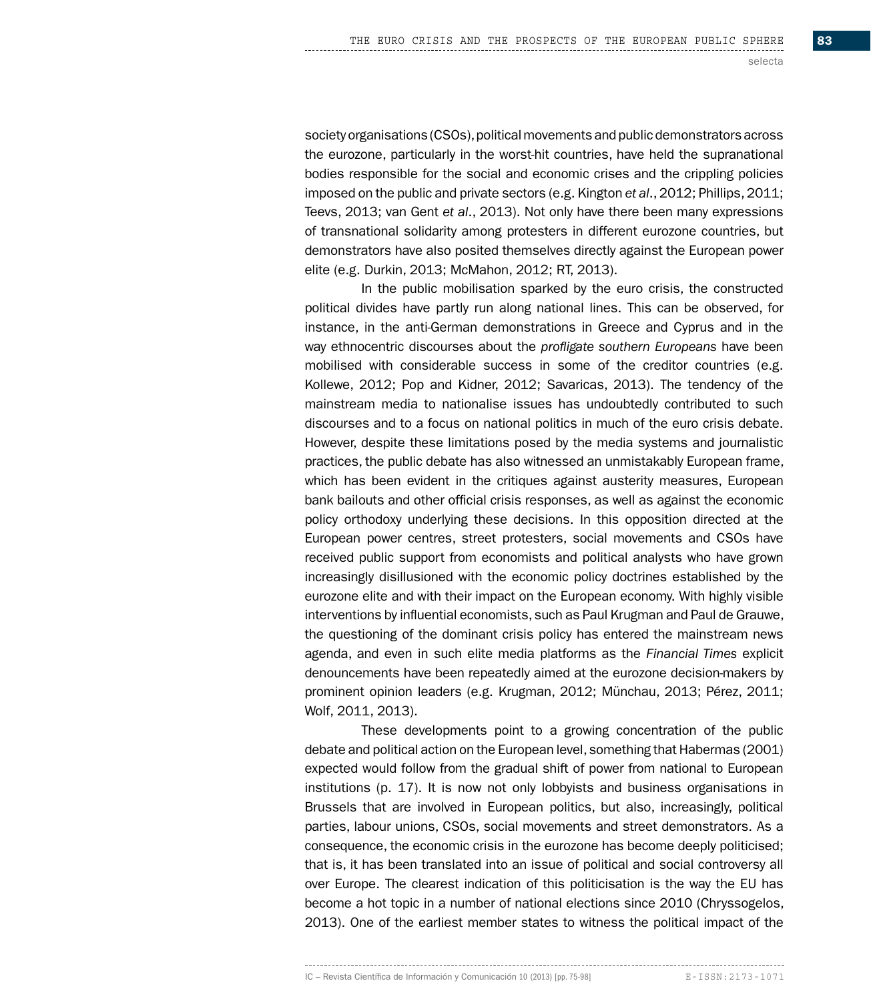society organisations (CSOs), political movements and public demonstrators across the eurozone, particularly in the worst-hit countries, have held the supranational bodies responsible for the social and economic crises and the crippling policies imposed on the public and private sectors (e.g. Kington *et al*., 2012; Phillips, 2011; Teevs, 2013; van Gent *et al*., 2013). Not only have there been many expressions of transnational solidarity among protesters in different eurozone countries, but demonstrators have also posited themselves directly against the European power elite (e.g. Durkin, 2013; McMahon, 2012; RT, 2013).

In the public mobilisation sparked by the euro crisis, the constructed political divides have partly run along national lines. This can be observed, for instance, in the anti-German demonstrations in Greece and Cyprus and in the way ethnocentric discourses about the *profligate southern Europeans* have been mobilised with considerable success in some of the creditor countries (e.g. Kollewe, 2012; Pop and Kidner, 2012; Savaricas, 2013). The tendency of the mainstream media to nationalise issues has undoubtedly contributed to such discourses and to a focus on national politics in much of the euro crisis debate. However, despite these limitations posed by the media systems and journalistic practices, the public debate has also witnessed an unmistakably European frame, which has been evident in the critiques against austerity measures, European bank bailouts and other official crisis responses, as well as against the economic policy orthodoxy underlying these decisions. In this opposition directed at the European power centres, street protesters, social movements and CSOs have received public support from economists and political analysts who have grown increasingly disillusioned with the economic policy doctrines established by the eurozone elite and with their impact on the European economy. With highly visible interventions by influential economists, such as Paul Krugman and Paul de Grauwe, the questioning of the dominant crisis policy has entered the mainstream news agenda, and even in such elite media platforms as the *Financial Times* explicit denouncements have been repeatedly aimed at the eurozone decision-makers by prominent opinion leaders (e.g. Krugman, 2012; Münchau, 2013; Pérez, 2011; Wolf, 2011, 2013).

These developments point to a growing concentration of the public debate and political action on the European level, something that Habermas (2001) expected would follow from the gradual shift of power from national to European institutions (p. 17). It is now not only lobbyists and business organisations in Brussels that are involved in European politics, but also, increasingly, political parties, labour unions, CSOs, social movements and street demonstrators. As a consequence, the economic crisis in the eurozone has become deeply politicised; that is, it has been translated into an issue of political and social controversy all over Europe. The clearest indication of this politicisation is the way the EU has become a hot topic in a number of national elections since 2010 (Chryssogelos, 2013). One of the earliest member states to witness the political impact of the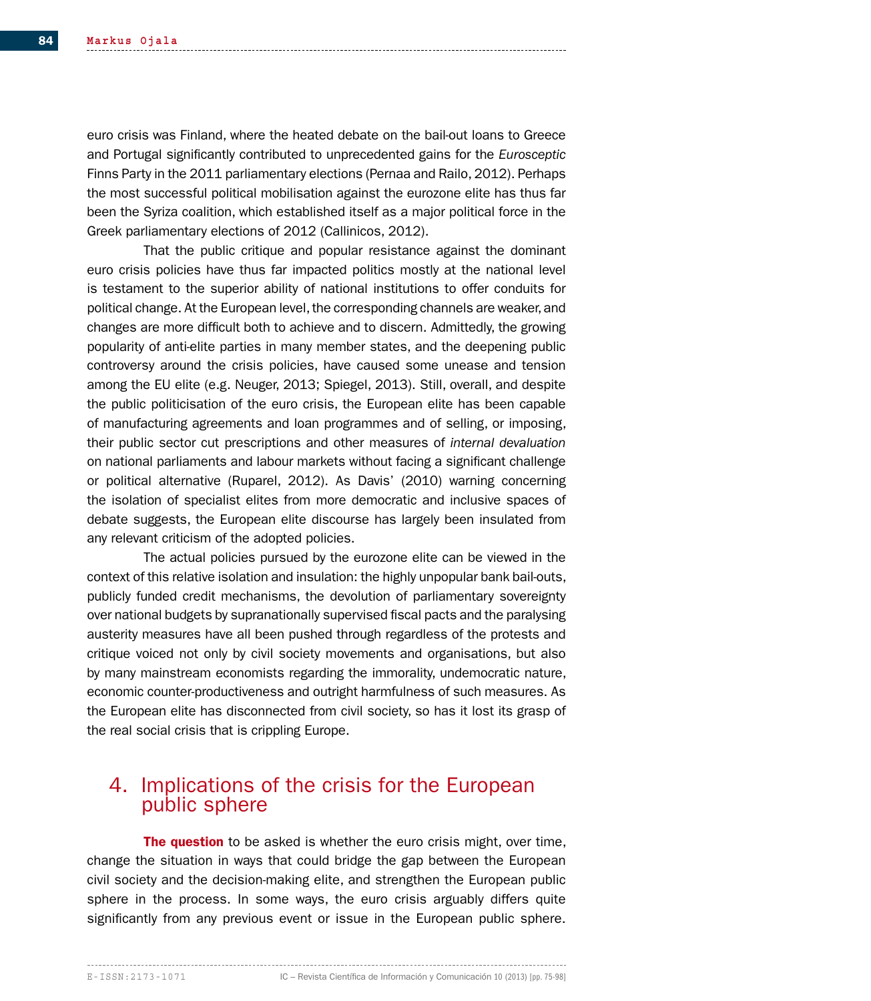euro crisis was Finland, where the heated debate on the bail-out loans to Greece and Portugal significantly contributed to unprecedented gains for the *Eurosceptic* Finns Party in the 2011 parliamentary elections (Pernaa and Railo, 2012). Perhaps the most successful political mobilisation against the eurozone elite has thus far been the Syriza coalition, which established itself as a major political force in the Greek parliamentary elections of 2012 (Callinicos, 2012).

That the public critique and popular resistance against the dominant euro crisis policies have thus far impacted politics mostly at the national level is testament to the superior ability of national institutions to offer conduits for political change. At the European level, the corresponding channels are weaker, and changes are more difficult both to achieve and to discern. Admittedly, the growing popularity of anti-elite parties in many member states, and the deepening public controversy around the crisis policies, have caused some unease and tension among the EU elite (e.g. Neuger, 2013; Spiegel, 2013). Still, overall, and despite the public politicisation of the euro crisis, the European elite has been capable of manufacturing agreements and loan programmes and of selling, or imposing, their public sector cut prescriptions and other measures of *internal devaluation* on national parliaments and labour markets without facing a significant challenge or political alternative (Ruparel, 2012). As Davis' (2010) warning concerning the isolation of specialist elites from more democratic and inclusive spaces of debate suggests, the European elite discourse has largely been insulated from any relevant criticism of the adopted policies.

The actual policies pursued by the eurozone elite can be viewed in the context of this relative isolation and insulation: the highly unpopular bank bail-outs, publicly funded credit mechanisms, the devolution of parliamentary sovereignty over national budgets by supranationally supervised fiscal pacts and the paralysing austerity measures have all been pushed through regardless of the protests and critique voiced not only by civil society movements and organisations, but also by many mainstream economists regarding the immorality, undemocratic nature, economic counter-productiveness and outright harmfulness of such measures. As the European elite has disconnected from civil society, so has it lost its grasp of the real social crisis that is crippling Europe.

# 4. Implications of the crisis for the European public sphere

**The question** to be asked is whether the euro crisis might, over time, change the situation in ways that could bridge the gap between the European civil society and the decision-making elite, and strengthen the European public sphere in the process. In some ways, the euro crisis arguably differs quite significantly from any previous event or issue in the European public sphere.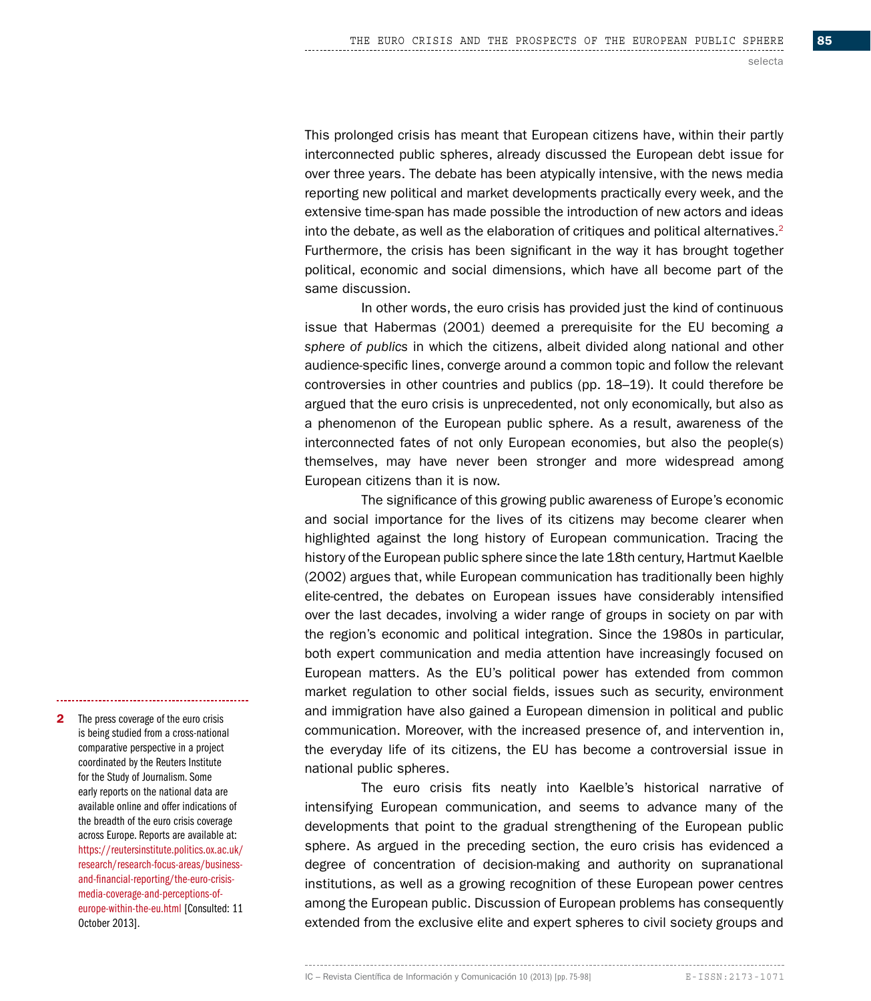This prolonged crisis has meant that European citizens have, within their partly interconnected public spheres, already discussed the European debt issue for over three years. The debate has been atypically intensive, with the news media reporting new political and market developments practically every week, and the extensive time-span has made possible the introduction of new actors and ideas into the debate, as well as the elaboration of critiques and political alternatives. $2$ Furthermore, the crisis has been significant in the way it has brought together political, economic and social dimensions, which have all become part of the same discussion.

In other words, the euro crisis has provided just the kind of continuous issue that Habermas (2001) deemed a prerequisite for the EU becoming *a sphere of publics* in which the citizens, albeit divided along national and other audience-specific lines, converge around a common topic and follow the relevant controversies in other countries and publics (pp. 18–19). It could therefore be argued that the euro crisis is unprecedented, not only economically, but also as a phenomenon of the European public sphere. As a result, awareness of the interconnected fates of not only European economies, but also the people(s) themselves, may have never been stronger and more widespread among European citizens than it is now.

The significance of this growing public awareness of Europe's economic and social importance for the lives of its citizens may become clearer when highlighted against the long history of European communication. Tracing the history of the European public sphere since the late 18th century, Hartmut Kaelble (2002) argues that, while European communication has traditionally been highly elite-centred, the debates on European issues have considerably intensified over the last decades, involving a wider range of groups in society on par with the region's economic and political integration. Since the 1980s in particular, both expert communication and media attention have increasingly focused on European matters. As the EU's political power has extended from common market regulation to other social fields, issues such as security, environment and immigration have also gained a European dimension in political and public communication. Moreover, with the increased presence of, and intervention in, the everyday life of its citizens, the EU has become a controversial issue in national public spheres.

The euro crisis fits neatly into Kaelble's historical narrative of intensifying European communication, and seems to advance many of the developments that point to the gradual strengthening of the European public sphere. As argued in the preceding section, the euro crisis has evidenced a degree of concentration of decision-making and authority on supranational institutions, as well as a growing recognition of these European power centres among the European public. Discussion of European problems has consequently extended from the exclusive elite and expert spheres to civil society groups and

2 The press coverage of the euro crisis is being studied from a cross-national comparative perspective in a project coordinated by the Reuters Institute for the Study of Journalism. Some early reports on the national data are available online and offer indications of the breadth of the euro crisis coverage across Europe. Reports are available at: https://reutersinstitute.politics.ox.ac.uk/ research/research-focus-areas/businessand-financial-reporting/the-euro-crisismedia-coverage-and-perceptions-ofeurope-within-the-eu.html [Consulted: 11 October 2013].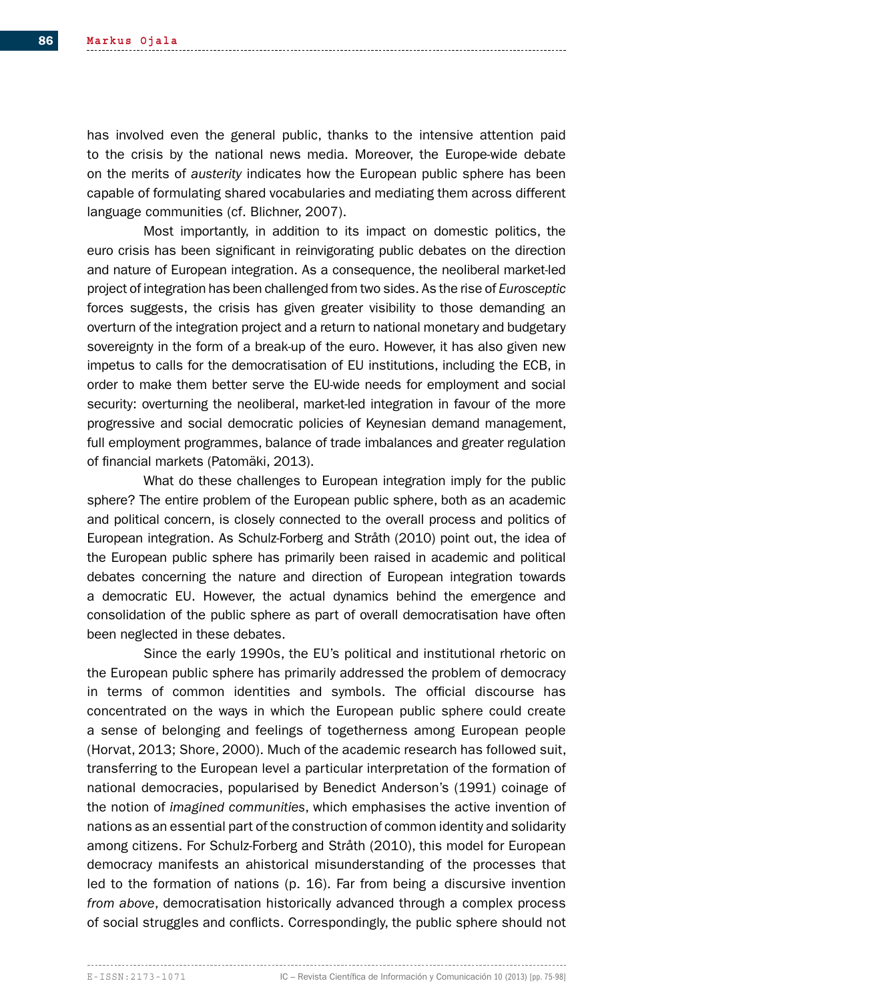has involved even the general public, thanks to the intensive attention paid to the crisis by the national news media. Moreover, the Europe-wide debate on the merits of *austerity* indicates how the European public sphere has been capable of formulating shared vocabularies and mediating them across different language communities (cf. Blichner, 2007).

Most importantly, in addition to its impact on domestic politics, the euro crisis has been significant in reinvigorating public debates on the direction and nature of European integration. As a consequence, the neoliberal market-led project of integration has been challenged from two sides. As the rise of *Eurosceptic* forces suggests, the crisis has given greater visibility to those demanding an overturn of the integration project and a return to national monetary and budgetary sovereignty in the form of a break-up of the euro. However, it has also given new impetus to calls for the democratisation of EU institutions, including the ECB, in order to make them better serve the EU-wide needs for employment and social security: overturning the neoliberal, market-led integration in favour of the more progressive and social democratic policies of Keynesian demand management, full employment programmes, balance of trade imbalances and greater regulation of financial markets (Patomäki, 2013).

What do these challenges to European integration imply for the public sphere? The entire problem of the European public sphere, both as an academic and political concern, is closely connected to the overall process and politics of European integration. As Schulz-Forberg and Stråth (2010) point out, the idea of the European public sphere has primarily been raised in academic and political debates concerning the nature and direction of European integration towards a democratic EU. However, the actual dynamics behind the emergence and consolidation of the public sphere as part of overall democratisation have often been neglected in these debates.

Since the early 1990s, the EU's political and institutional rhetoric on the European public sphere has primarily addressed the problem of democracy in terms of common identities and symbols. The official discourse has concentrated on the ways in which the European public sphere could create a sense of belonging and feelings of togetherness among European people (Horvat, 2013; Shore, 2000). Much of the academic research has followed suit, transferring to the European level a particular interpretation of the formation of national democracies, popularised by Benedict Anderson's (1991) coinage of the notion of *imagined communities*, which emphasises the active invention of nations as an essential part of the construction of common identity and solidarity among citizens. For Schulz-Forberg and Stråth (2010), this model for European democracy manifests an ahistorical misunderstanding of the processes that led to the formation of nations (p. 16). Far from being a discursive invention *from above*, democratisation historically advanced through a complex process of social struggles and conflicts. Correspondingly, the public sphere should not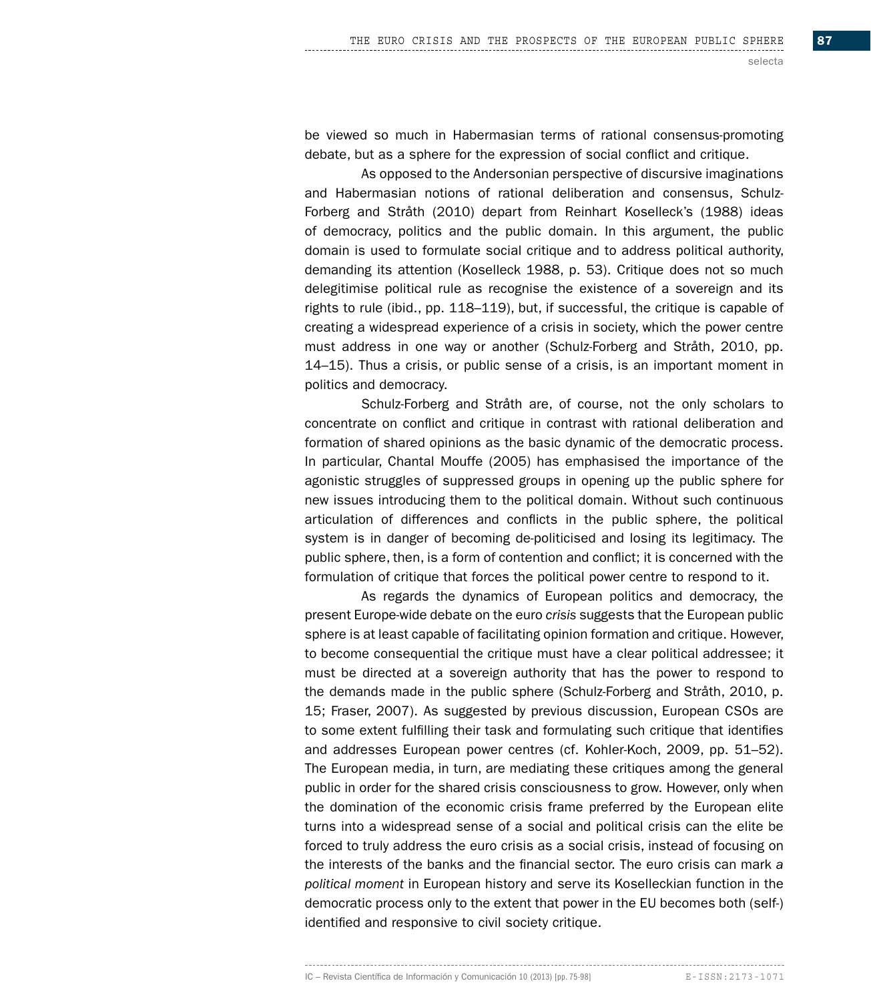be viewed so much in Habermasian terms of rational consensus-promoting debate, but as a sphere for the expression of social conflict and critique.

As opposed to the Andersonian perspective of discursive imaginations and Habermasian notions of rational deliberation and consensus, Schulz-Forberg and Stråth (2010) depart from Reinhart Koselleck's (1988) ideas of democracy, politics and the public domain. In this argument, the public domain is used to formulate social critique and to address political authority, demanding its attention (Koselleck 1988, p. 53). Critique does not so much delegitimise political rule as recognise the existence of a sovereign and its rights to rule (ibid., pp. 118–119), but, if successful, the critique is capable of creating a widespread experience of a crisis in society, which the power centre must address in one way or another (Schulz-Forberg and Stråth, 2010, pp. 14–15). Thus a crisis, or public sense of a crisis, is an important moment in politics and democracy.

Schulz-Forberg and Stråth are, of course, not the only scholars to concentrate on conflict and critique in contrast with rational deliberation and formation of shared opinions as the basic dynamic of the democratic process. In particular, Chantal Mouffe (2005) has emphasised the importance of the agonistic struggles of suppressed groups in opening up the public sphere for new issues introducing them to the political domain. Without such continuous articulation of differences and conflicts in the public sphere, the political system is in danger of becoming de-politicised and losing its legitimacy. The public sphere, then, is a form of contention and conflict; it is concerned with the formulation of critique that forces the political power centre to respond to it.

As regards the dynamics of European politics and democracy, the present Europe-wide debate on the euro *crisis* suggests that the European public sphere is at least capable of facilitating opinion formation and critique. However, to become consequential the critique must have a clear political addressee; it must be directed at a sovereign authority that has the power to respond to the demands made in the public sphere (Schulz-Forberg and Stråth, 2010, p. 15; Fraser, 2007). As suggested by previous discussion, European CSOs are to some extent fulfilling their task and formulating such critique that identifies and addresses European power centres (cf. Kohler-Koch, 2009, pp. 51–52). The European media, in turn, are mediating these critiques among the general public in order for the shared crisis consciousness to grow. However, only when the domination of the economic crisis frame preferred by the European elite turns into a widespread sense of a social and political crisis can the elite be forced to truly address the euro crisis as a social crisis, instead of focusing on the interests of the banks and the financial sector. The euro crisis can mark *a political moment* in European history and serve its Koselleckian function in the democratic process only to the extent that power in the EU becomes both (self-) identified and responsive to civil society critique.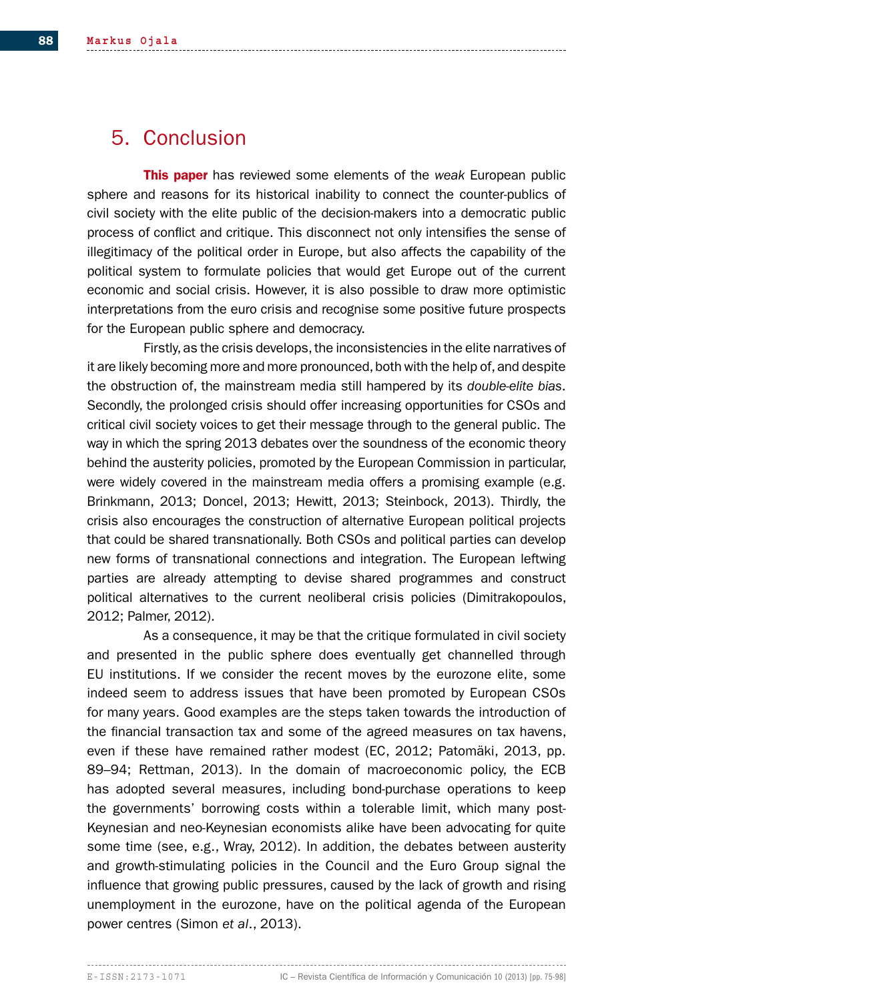# 5. Conclusion

This paper has reviewed some elements of the *weak* European public sphere and reasons for its historical inability to connect the counter-publics of civil society with the elite public of the decision-makers into a democratic public process of conflict and critique. This disconnect not only intensifies the sense of illegitimacy of the political order in Europe, but also affects the capability of the political system to formulate policies that would get Europe out of the current economic and social crisis. However, it is also possible to draw more optimistic interpretations from the euro crisis and recognise some positive future prospects for the European public sphere and democracy.

Firstly, as the crisis develops, the inconsistencies in the elite narratives of it are likely becoming more and more pronounced, both with the help of, and despite the obstruction of, the mainstream media still hampered by its *double-elite bias*. Secondly, the prolonged crisis should offer increasing opportunities for CSOs and critical civil society voices to get their message through to the general public. The way in which the spring 2013 debates over the soundness of the economic theory behind the austerity policies, promoted by the European Commission in particular, were widely covered in the mainstream media offers a promising example (e.g. Brinkmann, 2013; Doncel, 2013; Hewitt, 2013; Steinbock, 2013). Thirdly, the crisis also encourages the construction of alternative European political projects that could be shared transnationally. Both CSOs and political parties can develop new forms of transnational connections and integration. The European leftwing parties are already attempting to devise shared programmes and construct political alternatives to the current neoliberal crisis policies (Dimitrakopoulos, 2012; Palmer, 2012).

As a consequence, it may be that the critique formulated in civil society and presented in the public sphere does eventually get channelled through EU institutions. If we consider the recent moves by the eurozone elite, some indeed seem to address issues that have been promoted by European CSOs for many years. Good examples are the steps taken towards the introduction of the financial transaction tax and some of the agreed measures on tax havens, even if these have remained rather modest (EC, 2012; Patomäki, 2013, pp. 89–94; Rettman, 2013). In the domain of macroeconomic policy, the ECB has adopted several measures, including bond-purchase operations to keep the governments' borrowing costs within a tolerable limit, which many post-Keynesian and neo-Keynesian economists alike have been advocating for quite some time (see, e.g., Wray, 2012). In addition, the debates between austerity and growth-stimulating policies in the Council and the Euro Group signal the influence that growing public pressures, caused by the lack of growth and rising unemployment in the eurozone, have on the political agenda of the European power centres (Simon *et al*., 2013).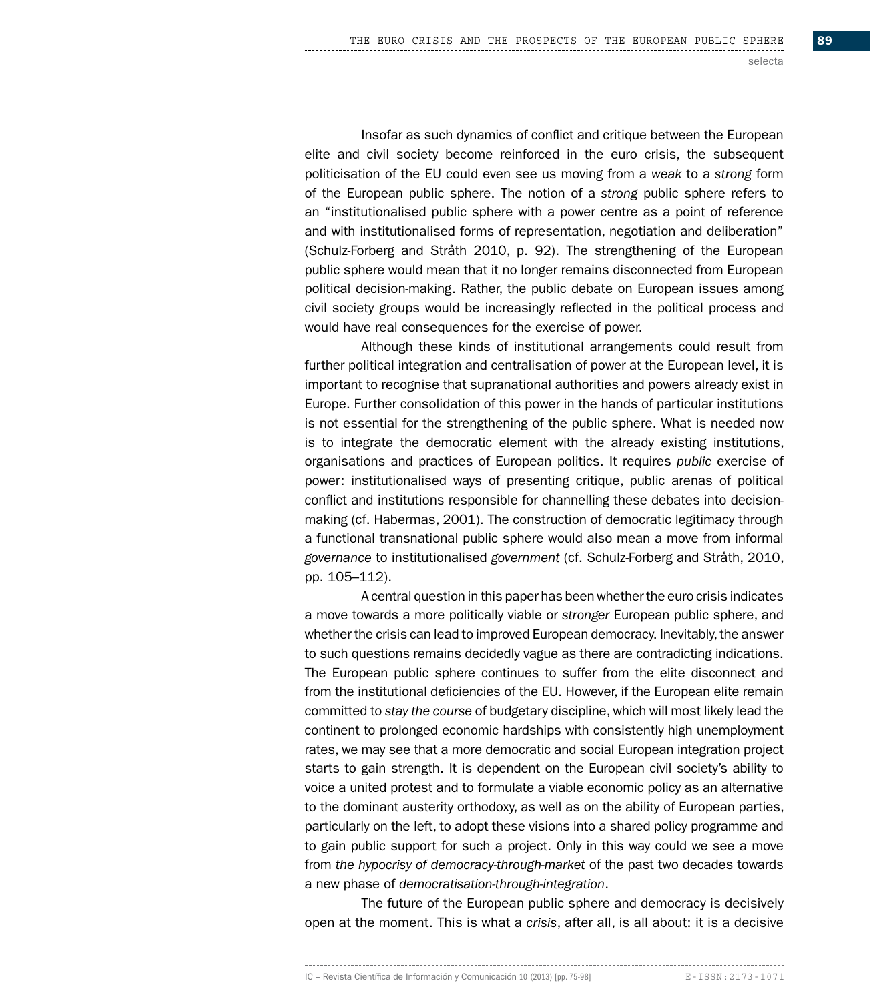Insofar as such dynamics of conflict and critique between the European elite and civil society become reinforced in the euro crisis, the subsequent politicisation of the EU could even see us moving from a *weak* to a *strong* form of the European public sphere. The notion of a *strong* public sphere refers to an "institutionalised public sphere with a power centre as a point of reference and with institutionalised forms of representation, negotiation and deliberation" (Schulz-Forberg and Stråth 2010, p. 92). The strengthening of the European public sphere would mean that it no longer remains disconnected from European political decision-making. Rather, the public debate on European issues among civil society groups would be increasingly reflected in the political process and would have real consequences for the exercise of power.

Although these kinds of institutional arrangements could result from further political integration and centralisation of power at the European level, it is important to recognise that supranational authorities and powers already exist in Europe. Further consolidation of this power in the hands of particular institutions is not essential for the strengthening of the public sphere. What is needed now is to integrate the democratic element with the already existing institutions, organisations and practices of European politics. It requires *public* exercise of power: institutionalised ways of presenting critique, public arenas of political conflict and institutions responsible for channelling these debates into decisionmaking (cf. Habermas, 2001). The construction of democratic legitimacy through a functional transnational public sphere would also mean a move from informal *governance* to institutionalised *government* (cf. Schulz-Forberg and Stråth, 2010, pp. 105–112).

A central question in this paper has been whether the euro crisis indicates a move towards a more politically viable or *stronger* European public sphere, and whether the crisis can lead to improved European democracy. Inevitably, the answer to such questions remains decidedly vague as there are contradicting indications. The European public sphere continues to suffer from the elite disconnect and from the institutional deficiencies of the EU. However, if the European elite remain committed to *stay the course* of budgetary discipline, which will most likely lead the continent to prolonged economic hardships with consistently high unemployment rates, we may see that a more democratic and social European integration project starts to gain strength. It is dependent on the European civil society's ability to voice a united protest and to formulate a viable economic policy as an alternative to the dominant austerity orthodoxy, as well as on the ability of European parties, particularly on the left, to adopt these visions into a shared policy programme and to gain public support for such a project. Only in this way could we see a move from *the hypocrisy of democracy-through-market* of the past two decades towards a new phase of *democratisation-through-integration*.

The future of the European public sphere and democracy is decisively open at the moment. This is what a *crisis*, after all, is all about: it is a decisive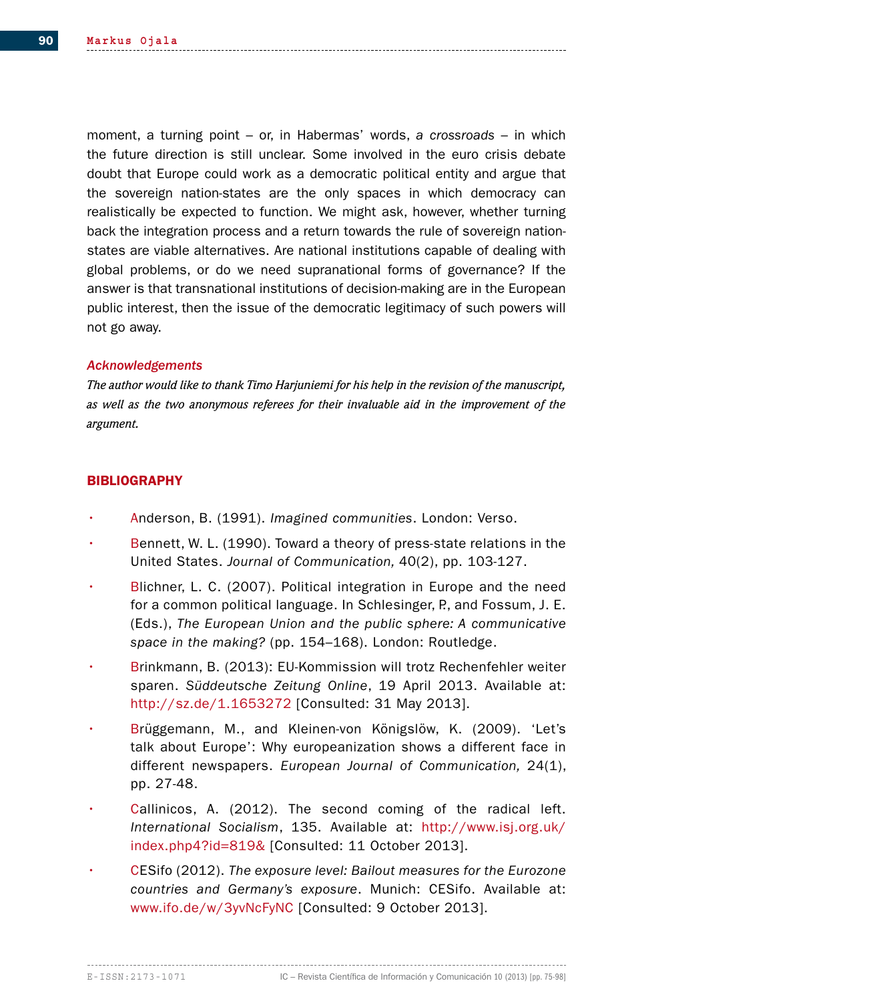moment, a turning point – or, in Habermas' words, *a crossroads* – in which the future direction is still unclear. Some involved in the euro crisis debate doubt that Europe could work as a democratic political entity and argue that the sovereign nation-states are the only spaces in which democracy can realistically be expected to function. We might ask, however, whether turning back the integration process and a return towards the rule of sovereign nationstates are viable alternatives. Are national institutions capable of dealing with global problems, or do we need supranational forms of governance? If the answer is that transnational institutions of decision-making are in the European public interest, then the issue of the democratic legitimacy of such powers will not go away.

## *Acknowledgements*

*The author would like to thank Timo Harjuniemi for his help in the revision of the manuscript, as well as the two anonymous referees for their invaluable aid in the improvement of the argument.*

## **BIBLIOGRAPHY**

- Anderson, B. (1991). *Imagined communities*. London: Verso.
- Bennett, W. L. (1990). Toward a theory of press-state relations in the United States. *Journal of Communication,* 40(2), pp. 103-127.
- Blichner, L. C. (2007). Political integration in Europe and the need for a common political language. In Schlesinger, P., and Fossum, J. E. (Eds.), *The European Union and the public sphere: A communicative space in the making?* (pp. 154–168). London: Routledge.
- Brinkmann, B. (2013): EU-Kommission will trotz Rechenfehler weiter sparen. *Süddeutsche Zeitung Online*, 19 April 2013. Available at: http://sz.de/1.1653272 [Consulted: 31 May 2013].
- Brüggemann, M., and Kleinen-von Königslöw, K. (2009). 'Let's talk about Europe': Why europeanization shows a different face in different newspapers. *European Journal of Communication,* 24(1), pp. 27-48.
- Callinicos, A. (2012). The second coming of the radical left. *International Socialism*, 135. Available at: http://www.isj.org.uk/ index.php4?id=819& [Consulted: 11 October 2013].
- CESifo (2012). *The exposure level: Bailout measures for the Eurozone countries and Germany's exposure*. Munich: CESifo. Available at: www.ifo.de/w/3yvNcFyNC [Consulted: 9 October 2013].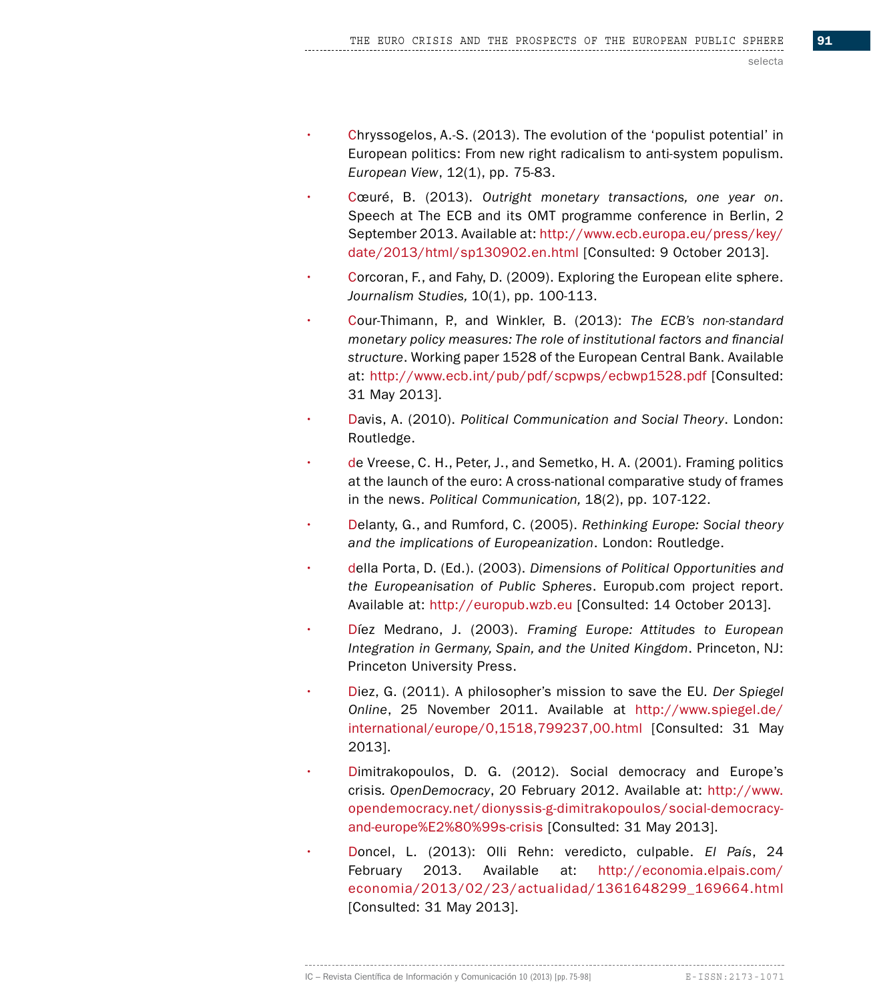- Chryssogelos, A.-S. (2013). The evolution of the 'populist potential' in European politics: From new right radicalism to anti-system populism. *European View*, 12(1), pp. 75-83.
- Cœuré, B. (2013). *Outright monetary transactions, one year on*. Speech at The ECB and its OMT programme conference in Berlin, 2 September 2013. Available at: http://www.ecb.europa.eu/press/key/ date/2013/html/sp130902.en.html [Consulted: 9 October 2013].
- Corcoran, F., and Fahy, D. (2009). Exploring the European elite sphere. *Journalism Studies,* 10(1), pp. 100-113.
- Cour-Thimann, P., and Winkler, B. (2013): *The ECB's non-standard monetary policy measures: The role of institutional factors and financial structure*. Working paper 1528 of the European Central Bank. Available at: http://www.ecb.int/pub/pdf/scpwps/ecbwp1528.pdf [Consulted: 31 May 2013].
- Davis, A. (2010). *Political Communication and Social Theory*. London: Routledge.
- de Vreese, C. H., Peter, J., and Semetko, H. A. (2001). Framing politics at the launch of the euro: A cross-national comparative study of frames in the news. *Political Communication,* 18(2), pp. 107-122.
- Delanty, G., and Rumford, C. (2005). *Rethinking Europe: Social theory and the implications of Europeanization*. London: Routledge.
- della Porta, D. (Ed.). (2003). *Dimensions of Political Opportunities and the Europeanisation of Public Spheres*. Europub.com project report. Available at: http://europub.wzb.eu [Consulted: 14 October 2013].
- Díez Medrano, J. (2003). *Framing Europe: Attitudes to European Integration in Germany, Spain, and the United Kingdom*. Princeton, NJ: Princeton University Press.
- Diez, G. (2011). A philosopher's mission to save the EU*. Der Spiegel Online*, 25 November 2011. Available at http://www.spiegel.de/ international/europe/0,1518,799237,00.html [Consulted: 31 May 2013].
- Dimitrakopoulos, D. G. (2012). Social democracy and Europe's crisis*. OpenDemocracy*, 20 February 2012. Available at: http://www. opendemocracy.net/dionyssis-g-dimitrakopoulos/social-democracyand-europe%E2%80%99s-crisis [Consulted: 31 May 2013].
- Doncel, L. (2013): Olli Rehn: veredicto, culpable. *El País*, 24 February 2013. Available at: http://economia.elpais.com/ economia/2013/02/23/actualidad/1361648299\_169664.html [Consulted: 31 May 2013].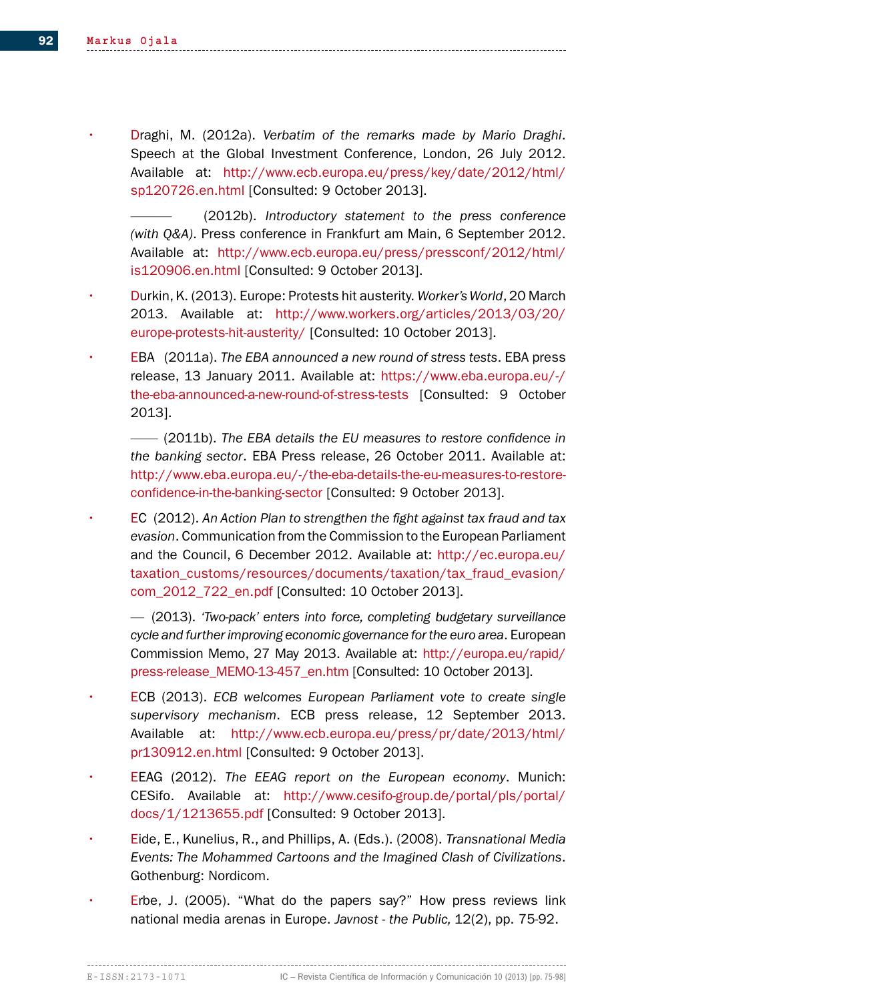• Draghi, M. (2012a). *Verbatim of the remarks made by Mario Draghi*. Speech at the Global Investment Conference, London, 26 July 2012. Available at: http://www.ecb.europa.eu/press/key/date/2012/html/ sp120726.en.html [Consulted: 9 October 2013].

——— (2012b). *Introductory statement to the press conference (with Q&A)*. Press conference in Frankfurt am Main, 6 September 2012. Available at: http://www.ecb.europa.eu/press/pressconf/2012/html/ is120906.en.html [Consulted: 9 October 2013].

- Durkin, K. (2013). Europe: Protests hit austerity. *Worker's World*, 20 March 2013. Available at: http://www.workers.org/articles/2013/03/20/ europe-protests-hit-austerity/ [Consulted: 10 October 2013].
- EBA (2011a). *The EBA announced a new round of stress tests*. EBA press release, 13 January 2011. Available at: https://www.eba.europa.eu/-/ the-eba-announced-a-new-round-of-stress-tests [Consulted: 9 October 2013].
	- —— (2011b). *The EBA details the EU measures to restore confidence in the banking sector*. EBA Press release, 26 October 2011. Available at: http://www.eba.europa.eu/-/the-eba-details-the-eu-measures-to-restoreconfidence-in-the-banking-sector [Consulted: 9 October 2013].
- EC (2012). *An Action Plan to strengthen the fight against tax fraud and tax evasion*. Communication from the Commission to the European Parliament and the Council, 6 December 2012. Available at: http://ec.europa.eu/ taxation\_customs/resources/documents/taxation/tax\_fraud\_evasion/ com\_2012\_722\_en.pdf [Consulted: 10 October 2013].
	- (2013). *'Two-pack' enters into force, completing budgetary surveillance cycle and further improving economic governance for the euro area*. European Commission Memo, 27 May 2013. Available at: http://europa.eu/rapid/ press-release\_MEMO-13-457\_en.htm [Consulted: 10 October 2013].
- ECB (2013). *ECB welcomes European Parliament vote to create single supervisory mechanism*. ECB press release, 12 September 2013. Available at: http://www.ecb.europa.eu/press/pr/date/2013/html/ pr130912.en.html [Consulted: 9 October 2013].
- EEAG (2012). *The EEAG report on the European economy*. Munich: CESifo. Available at: http://www.cesifo-group.de/portal/pls/portal/ docs/1/1213655.pdf [Consulted: 9 October 2013].
- Eide, E., Kunelius, R., and Phillips, A. (Eds.). (2008). *Transnational Media Events: The Mohammed Cartoons and the Imagined Clash of Civilizations*. Gothenburg: Nordicom.
- Erbe, J. (2005). "What do the papers say?" How press reviews link national media arenas in Europe. *Javnost - the Public,* 12(2), pp. 75-92.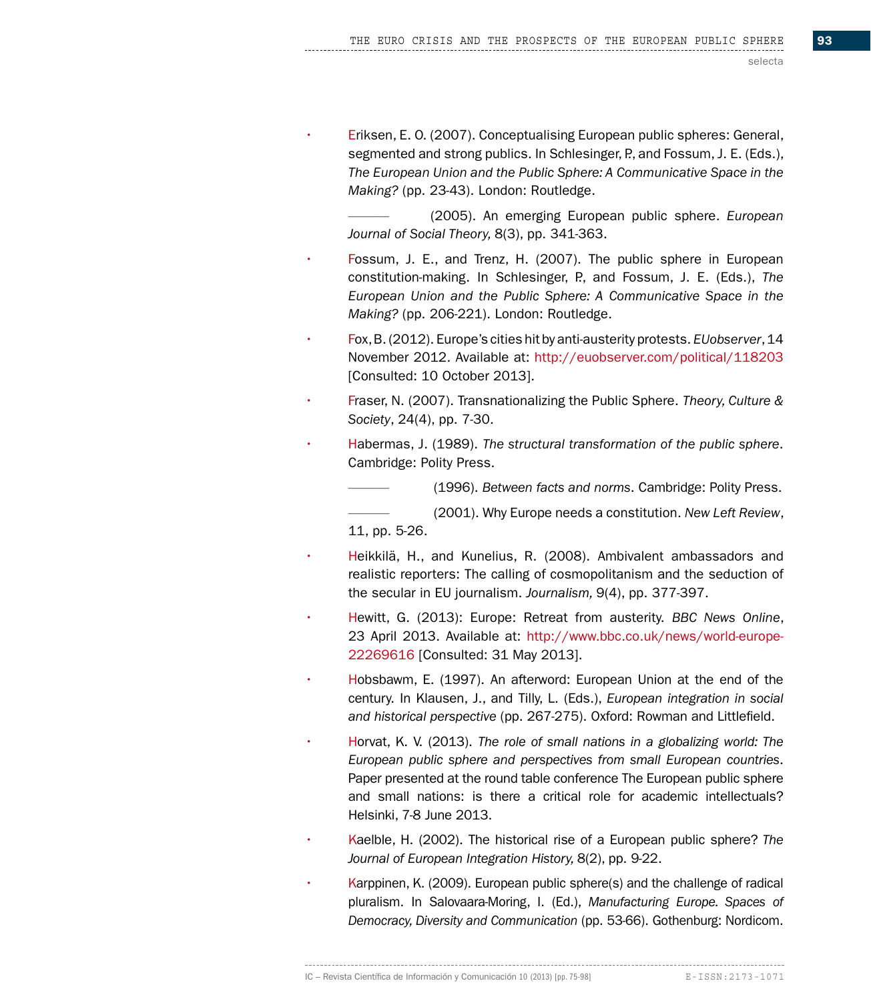• Eriksen, E. O. (2007). Conceptualising European public spheres: General, segmented and strong publics. In Schlesinger, P., and Fossum, J. E. (Eds.), *The European Union and the Public Sphere: A Communicative Space in the Making?* (pp. 23-43). London: Routledge.

——— (2005). An emerging European public sphere. *European Journal of Social Theory,* 8(3), pp. 341-363.

- Fossum, J. E., and Trenz, H. (2007). The public sphere in European constitution-making. In Schlesinger, P., and Fossum, J. E. (Eds.), *The European Union and the Public Sphere: A Communicative Space in the Making?* (pp. 206-221). London: Routledge.
- Fox, B. (2012). Europe's cities hit by anti-austerity protests. *EUobserver*, 14 November 2012. Available at: http://euobserver.com/political/118203 [Consulted: 10 October 2013].
- Fraser, N. (2007). Transnationalizing the Public Sphere. *Theory, Culture & Society*, 24(4), pp. 7-30.
- Habermas, J. (1989). *The structural transformation of the public sphere*. Cambridge: Polity Press.

——— (1996). *Between facts and norms*. Cambridge: Polity Press.

——— (2001). Why Europe needs a constitution. *New Left Review*, 11, pp. 5-26.

- Heikkilä, H., and Kunelius, R. (2008). Ambivalent ambassadors and realistic reporters: The calling of cosmopolitanism and the seduction of the secular in EU journalism. *Journalism,* 9(4), pp. 377-397.
- Hewitt, G. (2013): Europe: Retreat from austerity. *BBC News Online*, 23 April 2013. Available at: http://www.bbc.co.uk/news/world-europe-22269616 [Consulted: 31 May 2013].
- Hobsbawm, E. (1997). An afterword: European Union at the end of the century. In Klausen, J., and Tilly, L. (Eds.), *European integration in social and historical perspective* (pp. 267-275). Oxford: Rowman and Littlefield.
- Horvat, K. V. (2013). *The role of small nations in a globalizing world: The European public sphere and perspectives from small European countries*. Paper presented at the round table conference The European public sphere and small nations: is there a critical role for academic intellectuals? Helsinki, 7-8 June 2013.
- Kaelble, H. (2002). The historical rise of a European public sphere? *The Journal of European Integration History,* 8(2), pp. 9-22.
- Karppinen, K. (2009). European public sphere(s) and the challenge of radical pluralism. In Salovaara-Moring, I. (Ed.), *Manufacturing Europe. Spaces of Democracy, Diversity and Communication* (pp. 53-66). Gothenburg: Nordicom.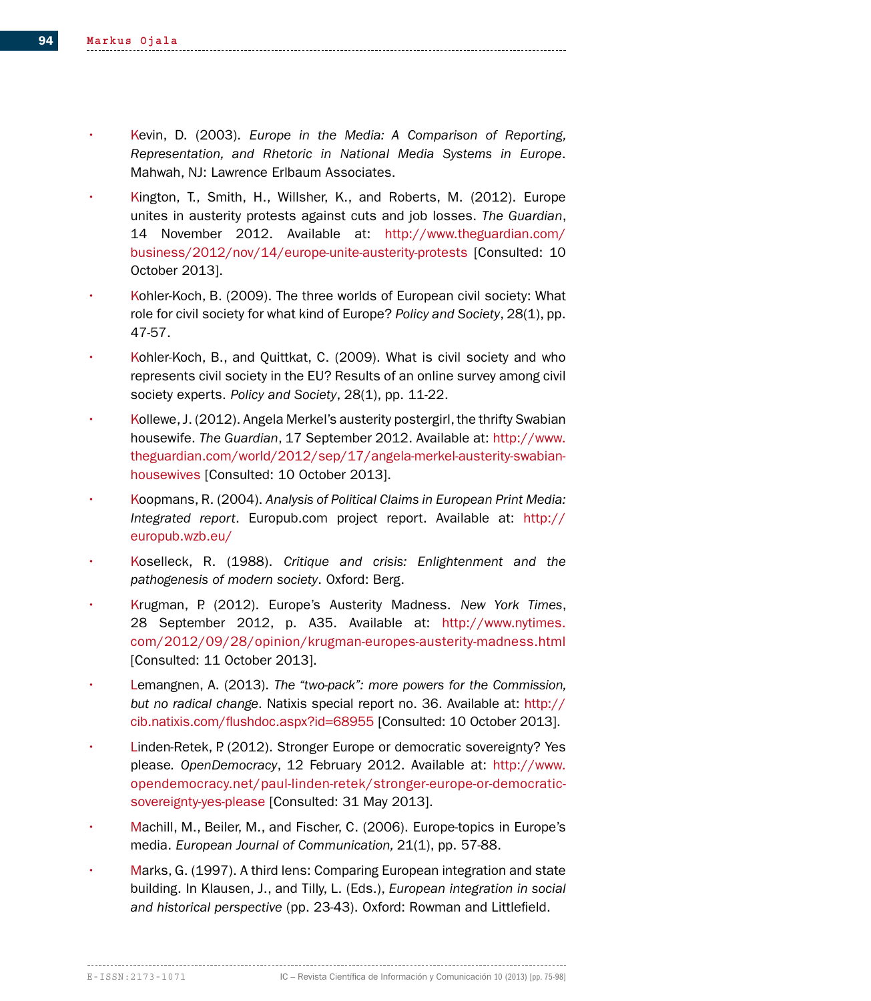- Kevin, D. (2003). *Europe in the Media: A Comparison of Reporting, Representation, and Rhetoric in National Media Systems in Europe*. Mahwah, NJ: Lawrence Erlbaum Associates.
- Kington, T., Smith, H., Willsher, K., and Roberts, M. (2012). Europe unites in austerity protests against cuts and job losses. *The Guardian*, 14 November 2012. Available at: http://www.theguardian.com/ business/2012/nov/14/europe-unite-austerity-protests [Consulted: 10 October 2013].
- Kohler-Koch, B. (2009). The three worlds of European civil society: What role for civil society for what kind of Europe? *Policy and Society*, 28(1), pp. 47-57.
- Kohler-Koch, B., and Quittkat, C. (2009). What is civil society and who represents civil society in the EU? Results of an online survey among civil society experts. *Policy and Society*, 28(1), pp. 11-22.
- Kollewe, J. (2012). Angela Merkel's austerity postergirl, the thrifty Swabian housewife. *The Guardian*, 17 September 2012. Available at: http://www. theguardian.com/world/2012/sep/17/angela-merkel-austerity-swabianhousewives [Consulted: 10 October 2013].
- Koopmans, R. (2004). *Analysis of Political Claims in European Print Media: Integrated report*. Europub.com project report. Available at: http:// europub.wzb.eu/
- Koselleck, R. (1988). *Critique and crisis: Enlightenment and the pathogenesis of modern society*. Oxford: Berg.
- Krugman, P. (2012). Europe's Austerity Madness. *New York Times*, 28 September 2012, p. A35. Available at: http://www.nytimes. com/2012/09/28/opinion/krugman-europes-austerity-madness.html [Consulted: 11 October 2013].
- Lemangnen, A. (2013). *The "two-pack": more powers for the Commission, but no radical change*. Natixis special report no. 36. Available at: http:// cib.natixis.com/flushdoc.aspx?id=68955 [Consulted: 10 October 2013].
- Linden-Retek, P. (2012). Stronger Europe or democratic sovereignty? Yes please*. OpenDemocracy*, 12 February 2012. Available at: http://www. opendemocracy.net/paul-linden-retek/stronger-europe-or-democraticsovereignty-yes-please [Consulted: 31 May 2013].
- Machill, M., Beiler, M., and Fischer, C. (2006). Europe-topics in Europe's media. *European Journal of Communication,* 21(1), pp. 57-88.
- Marks, G. (1997). A third lens: Comparing European integration and state building. In Klausen, J., and Tilly, L. (Eds.), *European integration in social and historical perspective* (pp. 23-43). Oxford: Rowman and Littlefield.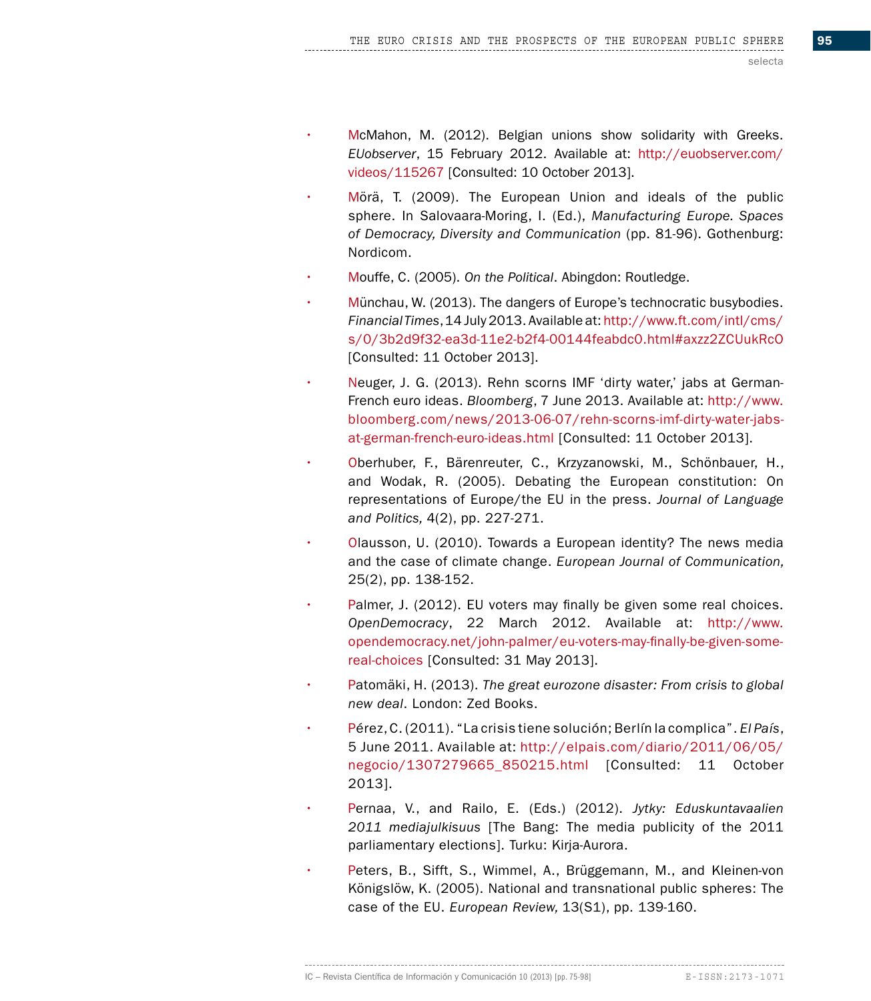- McMahon, M. (2012). Belgian unions show solidarity with Greeks. *EUobserver*, 15 February 2012. Available at: http://euobserver.com/ videos/115267 [Consulted: 10 October 2013].
- Mörä, T. (2009). The European Union and ideals of the public sphere. In Salovaara-Moring, I. (Ed.), *Manufacturing Europe. Spaces of Democracy, Diversity and Communication* (pp. 81-96). Gothenburg: Nordicom.
- Mouffe, C. (2005). *On the Political*. Abingdon: Routledge.
- Münchau, W. (2013). The dangers of Europe's technocratic busybodies. *Financial Times*, 14 July 2013. Available at: http://www.ft.com/intl/cms/ s/0/3b2d9f32-ea3d-11e2-b2f4-00144feabdc0.html#axzz2ZCUukRcO [Consulted: 11 October 2013].
- Neuger, J. G. (2013). Rehn scorns IMF 'dirty water,' jabs at German-French euro ideas. *Bloomberg*, 7 June 2013. Available at: http://www. bloomberg.com/news/2013-06-07/rehn-scorns-imf-dirty-water-jabsat-german-french-euro-ideas.html [Consulted: 11 October 2013].
- Oberhuber, F., Bärenreuter, C., Krzyzanowski, M., Schönbauer, H., and Wodak, R. (2005). Debating the European constitution: On representations of Europe/the EU in the press. *Journal of Language and Politics,* 4(2), pp. 227-271.
- Olausson, U. (2010). Towards a European identity? The news media and the case of climate change. *European Journal of Communication,*  25(2), pp. 138-152.
- Palmer, J. (2012). EU voters may finally be given some real choices. *OpenDemocracy*, 22 March 2012. Available at: http://www. opendemocracy.net/john-palmer/eu-voters-may-finally-be-given-somereal-choices [Consulted: 31 May 2013].
- Patomäki, H. (2013). *The great eurozone disaster: From crisis to global new deal*. London: Zed Books.
- Pérez, C. (2011). "La crisis tiene solución; Berlín la complica". *El País*, 5 June 2011. Available at: http://elpais.com/diario/2011/06/05/ negocio/1307279665\_850215.html [Consulted: 11 October 2013].
- Pernaa, V., and Railo, E. (Eds.) (2012). *Jytky: Eduskuntavaalien 2011 mediajulkisuus* [The Bang: The media publicity of the 2011 parliamentary elections]. Turku: Kirja-Aurora.
- Peters, B., Sifft, S., Wimmel, A., Brüggemann, M., and Kleinen-von Königslöw, K. (2005). National and transnational public spheres: The case of the EU. *European Review,* 13(S1), pp. 139-160.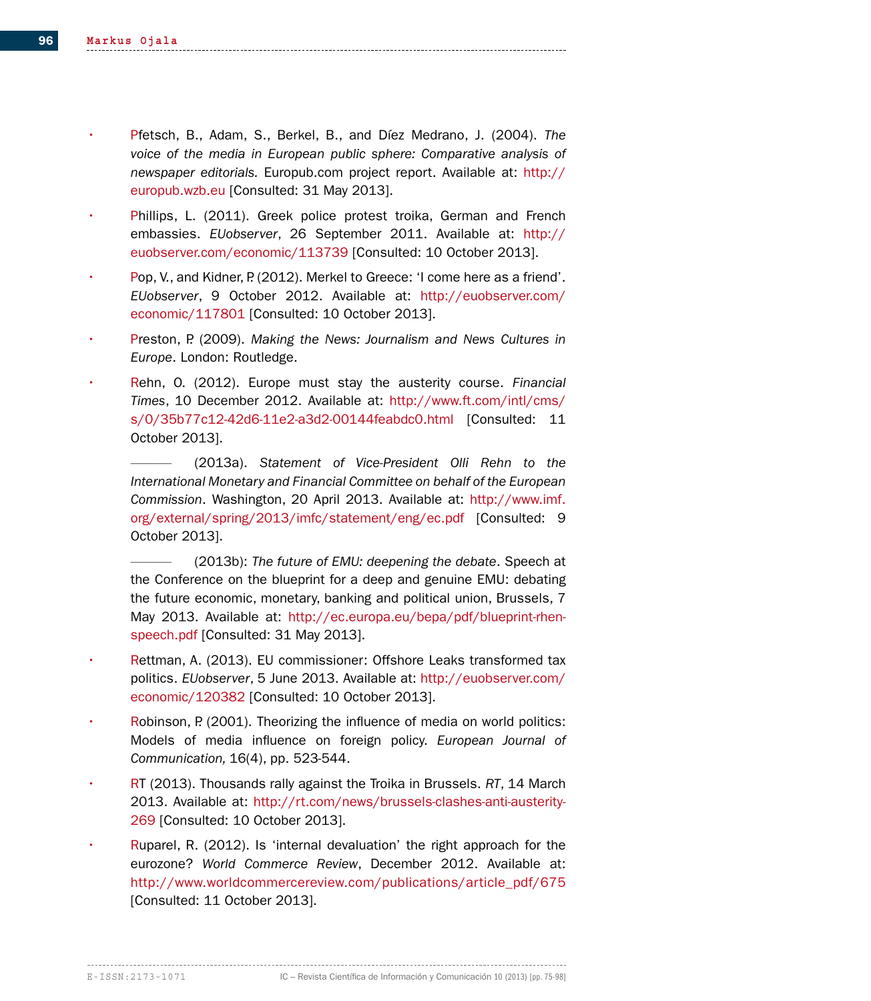- Pfetsch, B., Adam, S., Berkel, B., and Díez Medrano, J. (2004). *The voice of the media in European public sphere: Comparative analysis of newspaper editorials.* Europub.com project report. Available at: http:// europub.wzb.eu [Consulted: 31 May 2013].
- Phillips, L. (2011). Greek police protest troika, German and French embassies. *EUobserver*, 26 September 2011. Available at: http:// euobserver.com/economic/113739 [Consulted: 10 October 2013].
- Pop, V., and Kidner, P. (2012). Merkel to Greece: 'I come here as a friend'. *EUobserver*, 9 October 2012. Available at: http://euobserver.com/ economic/117801 [Consulted: 10 October 2013].
- Preston, P. (2009). *Making the News: Journalism and News Cultures in Europe*. London: Routledge.
- Rehn, O. (2012). Europe must stay the austerity course. *Financial Times*, 10 December 2012. Available at: http://www.ft.com/intl/cms/ s/0/35b77c12-42d6-11e2-a3d2-00144feabdc0.html [Consulted: 11 October 2013].
	- ——— (2013a). *Statement of Vice-President Olli Rehn to the International Monetary and Financial Committee on behalf of the European Commission*. Washington, 20 April 2013. Available at: http://www.imf. org/external/spring/2013/imfc/statement/eng/ec.pdf [Consulted: 9 October 2013].
	- (2013b): The future of EMU: deepening the debate. Speech at the Conference on the blueprint for a deep and genuine EMU: debating the future economic, monetary, banking and political union, Brussels, 7 May 2013. Available at: http://ec.europa.eu/bepa/pdf/blueprint-rhenspeech.pdf [Consulted: 31 May 2013].
- Rettman, A. (2013). EU commissioner: Offshore Leaks transformed tax politics. *EUobserver*, 5 June 2013. Available at: http://euobserver.com/ economic/120382 [Consulted: 10 October 2013].
- Robinson, P. (2001). Theorizing the influence of media on world politics: Models of media influence on foreign policy. *European Journal of Communication,* 16(4), pp. 523-544.
- RT (2013). Thousands rally against the Troika in Brussels. *RT*, 14 March 2013. Available at: http://rt.com/news/brussels-clashes-anti-austerity-269 [Consulted: 10 October 2013].
- Ruparel, R. (2012). Is 'internal devaluation' the right approach for the eurozone? *World Commerce Review*, December 2012. Available at: http://www.worldcommercereview.com/publications/article\_pdf/675 [Consulted: 11 October 2013].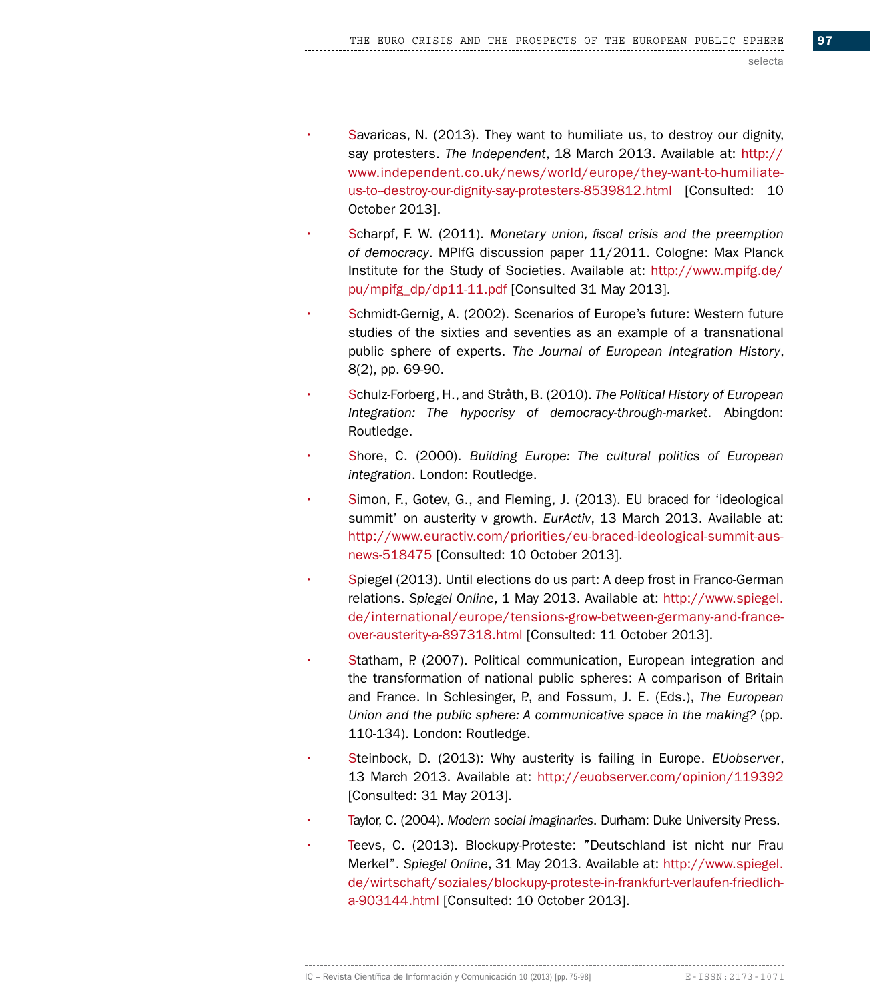- Savaricas, N. (2013). They want to humiliate us, to destroy our dignity, say protesters. *The Independent*, 18 March 2013. Available at: http:// www.independent.co.uk/news/world/europe/they-want-to-humiliateus-to-destroy-our-dignity-say-protesters-8539812.html [Consulted: 10 October 2013].
- Scharpf, F. W. (2011). *Monetary union, fiscal crisis and the preemption of democracy*. MPIfG discussion paper 11/2011. Cologne: Max Planck Institute for the Study of Societies. Available at: http://www.mpifg.de/ pu/mpifg\_dp/dp11-11.pdf [Consulted 31 May 2013].
- Schmidt-Gernig, A. (2002). Scenarios of Europe's future: Western future studies of the sixties and seventies as an example of a transnational public sphere of experts. *The Journal of European Integration History*, 8(2), pp. 69-90.
- Schulz-Forberg, H., and Stråth, B. (2010). *The Political History of European Integration: The hypocrisy of democracy-through-market*. Abingdon: Routledge.
- Shore, C. (2000). *Building Europe: The cultural politics of European integration*. London: Routledge.
- Simon, F., Gotev, G., and Fleming, J. (2013). EU braced for 'ideological summit' on austerity v growth. *EurActiv*, 13 March 2013. Available at: http://www.euractiv.com/priorities/eu-braced-ideological-summit-ausnews-518475 [Consulted: 10 October 2013].
- Spiegel (2013). Until elections do us part: A deep frost in Franco-German relations. *Spiegel Online*, 1 May 2013. Available at: http://www.spiegel. de/international/europe/tensions-grow-between-germany-and-franceover-austerity-a-897318.html [Consulted: 11 October 2013].
- Statham, P. (2007). Political communication, European integration and the transformation of national public spheres: A comparison of Britain and France. In Schlesinger, P., and Fossum, J. E. (Eds.), *The European Union and the public sphere: A communicative space in the making?* (pp. 110-134). London: Routledge.
- Steinbock, D. (2013): Why austerity is failing in Europe. *EUobserver*, 13 March 2013. Available at: http://euobserver.com/opinion/119392 [Consulted: 31 May 2013].
- Taylor, C. (2004). *Modern social imaginaries*. Durham: Duke University Press.
- Teevs, C. (2013). Blockupy-Proteste: "Deutschland ist nicht nur Frau Merkel". *Spiegel Online*, 31 May 2013. Available at: http://www.spiegel. de/wirtschaft/soziales/blockupy-proteste-in-frankfurt-verlaufen-friedlicha-903144.html [Consulted: 10 October 2013].